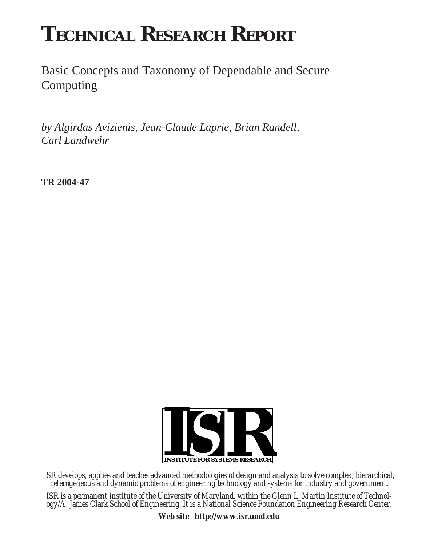# **TECHNICAL RESEARCH REPORT**

Basic Concepts and Taxonomy of Dependable and Secure Computing

*by Algirdas Avizienis, Jean-Claude Laprie, Brian Randell, Carl Landwehr*

**TR 2004-47**



*ISR develops, applies and teaches advanced methodologies of design and analysis to solve complex, hierarchical, heterogeneous and dynamic problems of engineering technology and systems for industry and government.*

*ISR is a permanent institute of the University of Maryland, within the Glenn L. Martin Institute of Technology/A. James Clark School of Engineering. It is a National Science Foundation Engineering Research Center.*

*Web site http://www.isr.umd.edu*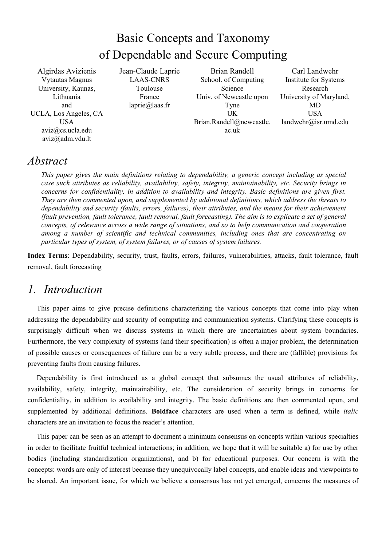# Basic Concepts and Taxonomy of Dependable and Secure Computing

Algirdas Avizienis Vytautas Magnus University, Kaunas, Lithuania and UCLA, Los Angeles, CA USA aviz@cs.ucla.edu aviz@adm.vdu.lt

Jean-Claude Laprie LAAS-CNRS Toulouse France laprie@laas.fr

Brian Randell School. of Computing Science Univ. of Newcastle upon Tyne **I**IK Brian.Randell@newcastle. ac.uk

Carl Landwehr Institute for Systems Research University of Maryland, MD **I**ISA landwehr@isr.umd.edu

# *Abstract*

*This paper gives the main definitions relating to dependability, a generic concept including as special case such attributes as reliability, availability, safety, integrity, maintainability, etc. Security brings in concerns for confidentiality, in addition to availability and integrity. Basic definitions are given first. They are then commented upon, and supplemented by additional definitions, which address the threats to dependability and security (faults, errors, failures), their attributes, and the means for their achievement (fault prevention, fault tolerance, fault removal, fault forecasting). The aim is to explicate a set of general concepts, of relevance across a wide range of situations, and so to help communication and cooperation among a number of scientific and technical communities, including ones that are concentrating on particular types of system, of system failures, or of causes of system failures.* 

Index Terms: Dependability, security, trust, faults, errors, failures, vulnerabilities, attacks, fault tolerance, fault removal, fault forecasting

# *1. Introduction*

This paper aims to give precise definitions characterizing the various concepts that come into play when addressing the dependability and security of computing and communication systems. Clarifying these concepts is surprisingly difficult when we discuss systems in which there are uncertainties about system boundaries. Furthermore, the very complexity of systems (and their specification) is often a major problem, the determination of possible causes or consequences of failure can be a very subtle process, and there are (fallible) provisions for preventing faults from causing failures.

Dependability is first introduced as a global concept that subsumes the usual attributes of reliability, availability, safety, integrity, maintainability, etc. The consideration of security brings in concerns for confidentiality, in addition to availability and integrity. The basic definitions are then commented upon, and supplemented by additional definitions. **Boldface** characters are used when a term is defined, while *italic* characters are an invitation to focus the reader's attention.

This paper can be seen as an attempt to document a minimum consensus on concepts within various specialties in order to facilitate fruitful technical interactions; in addition, we hope that it will be suitable a) for use by other bodies (including standardization organizations), and b) for educational purposes. Our concern is with the concepts: words are only of interest because they unequivocally label concepts, and enable ideas and viewpoints to be shared. An important issue, for which we believe a consensus has not yet emerged, concerns the measures of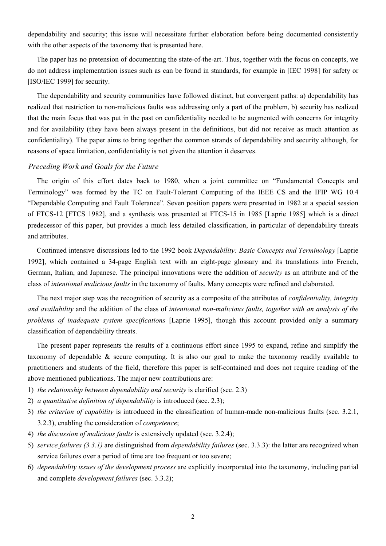dependability and security; this issue will necessitate further elaboration before being documented consistently with the other aspects of the taxonomy that is presented here.

The paper has no pretension of documenting the state-of-the-art. Thus, together with the focus on concepts, we do not address implementation issues such as can be found in standards, for example in [IEC 1998] for safety or [ISO/IEC 1999] for security.

The dependability and security communities have followed distinct, but convergent paths: a) dependability has realized that restriction to non-malicious faults was addressing only a part of the problem, b) security has realized that the main focus that was put in the past on confidentiality needed to be augmented with concerns for integrity and for availability (they have been always present in the definitions, but did not receive as much attention as confidentiality). The paper aims to bring together the common strands of dependability and security although, for reasons of space limitation, confidentiality is not given the attention it deserves.

#### *Preceding Work and Goals for the Future*

The origin of this effort dates back to 1980, when a joint committee on "Fundamental Concepts and Terminology" was formed by the TC on Fault-Tolerant Computing of the IEEE CS and the IFIP WG 10.4 "Dependable Computing and Fault Tolerance". Seven position papers were presented in 1982 at a special session of FTCS-12 [FTCS 1982], and a synthesis was presented at FTCS-15 in 1985 [Laprie 1985] which is a direct predecessor of this paper, but provides a much less detailed classification, in particular of dependability threats and attributes.

Continued intensive discussions led to the 1992 book *Dependability: Basic Concepts and Terminology* [Laprie 1992], which contained a 34-page English text with an eight-page glossary and its translations into French, German, Italian, and Japanese. The principal innovations were the addition of *security* as an attribute and of the class of *intentional malicious faults* in the taxonomy of faults. Many concepts were refined and elaborated.

The next major step was the recognition of security as a composite of the attributes of *confidentiality, integrity and availability* and the addition of the class of *intentional non-malicious faults, together with an analysis of the problems of inadequate system specifications* [Laprie 1995], though this account provided only a summary classification of dependability threats.

The present paper represents the results of a continuous effort since 1995 to expand, refine and simplify the taxonomy of dependable & secure computing. It is also our goal to make the taxonomy readily available to practitioners and students of the field, therefore this paper is self-contained and does not require reading of the above mentioned publications. The major new contributions are:

- 1) *the relationship between dependability and security* is clarified (sec. 2.3)
- 2) *a quantitative definition of dependability* is introduced (sec. 2.3);
- 3) *the criterion of capability* is introduced in the classification of human-made non-malicious faults (sec. 3.2.1, 3.2.3), enabling the consideration of *competence*;
- 4) *the discussion of malicious faults* is extensively updated (sec. 3.2.4);
- 5) *service failures (3.3.1)* are distinguished from *dependability failures* (sec. 3.3.3): the latter are recognized when service failures over a period of time are too frequent or too severe;
- 6) *dependability issues of the development process* are explicitly incorporated into the taxonomy, including partial and complete *development failures* (sec. 3.3.2);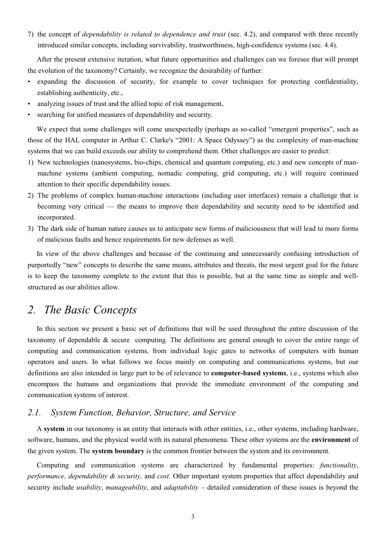7) the concept of *dependability is related to dependence and trust* (sec. 4.2), and compared with three recently introduced similar concepts, including survivability, trustworthiness, high-confidence systems (sec. 4.4).

After the present extensive iteration, what future opportunities and challenges can we foresee that will prompt the evolution of the taxonomy? Certainly, we recognize the desirability of further:

- expanding the discussion of security, for example to cover techniques for protecting confidentiality, establishing authenticity, etc.,
- analyzing issues of trust and the allied topic of risk management,
- searching for unified measures of dependability and security.

We expect that some challenges will come unexpectedly (perhaps as so-called "emergent properties", such as those of the HAL computer in Arthur C. Clarke's "2001: A Space Odyssey") as the complexity of man-machine systems that we can build exceeds our ability to comprehend them. Other challenges are easier to predict:

- 1) New technologies (nanosystems, bio-chips, chemical and quantum computing, etc.) and new concepts of manmachine systems (ambient computing, nomadic computing, grid computing, etc.) will require continued attention to their specific dependability issues.
- 2) The problems of complex human-machine interactions (including user interfaces) remain a challenge that is becoming very critical — the means to improve their dependability and security need to be identified and incorporated.
- 3) The dark side of human nature causes us to anticipate new forms of maliciousness that will lead to more forms of malicious faults and hence requirements for new defenses as well.

In view of the above challenges and because of the continuing and unnecessarily confusing introduction of purportedly "new" concepts to describe the same means, attributes and threats, the most urgent goal for the future is to keep the taxonomy complete to the extent that this is possible, but at the same time as simple and wellstructured as our abilities allow.

# *2. The Basic Concepts*

In this section we present a basic set of definitions that will be used throughout the entire discussion of the taxonomy of dependable & secure computing. The definitions are general enough to cover the entire range of computing and communication systems, from individual logic gates to networks of computers with human operators and users. In what follows we focus mainly on computing and communications systems, but our definitions are also intended in large part to be of relevance to **computer-based systems**, i.e., systems which also encompass the humans and organizations that provide the immediate environment of the computing and communication systems of interest.

### *2.1. System Function, Behavior, Structure, and Service*

A **system** in our taxonomy is an entity that interacts with other entities, i.e., other systems, including hardware, software, humans, and the physical world with its natural phenomena. These other systems are the **environment** of the given system. The **system boundary** is the common frontier between the system and its environment.

Computing and communication systems are characterized by fundamental properties: *functionality*, *performance, dependability & security,* and *cost*. Other important system properties that affect dependability and security include *usability*, *manageability*, and *adaptability* – detailed consideration of these issues is beyond the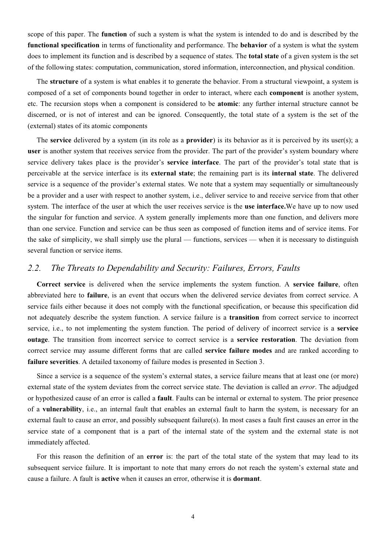scope of this paper. The **function** of such a system is what the system is intended to do and is described by the **functional specification** in terms of functionality and performance. The **behavior** of a system is what the system does to implement its function and is described by a sequence of states. The **total state** of a given system is the set of the following states: computation, communication, stored information, interconnection, and physical condition.

The **structure** of a system is what enables it to generate the behavior. From a structural viewpoint, a system is composed of a set of components bound together in order to interact, where each **component** is another system, etc. The recursion stops when a component is considered to be **atomic**: any further internal structure cannot be discerned, or is not of interest and can be ignored. Consequently, the total state of a system is the set of the (external) states of its atomic components

The **service** delivered by a system (in its role as a **provider**) is its behavior as it is perceived by its user(s); a **user** is another system that receives service from the provider. The part of the provider's system boundary where service delivery takes place is the provider's **service interface**. The part of the provider's total state that is perceivable at the service interface is its **external state**; the remaining part is its **internal state**. The delivered service is a sequence of the provider's external states. We note that a system may sequentially or simultaneously be a provider and a user with respect to another system, i.e., deliver service to and receive service from that other system. The interface of the user at which the user receives service is the **use interface.**We have up to now used the singular for function and service. A system generally implements more than one function, and delivers more than one service. Function and service can be thus seen as composed of function items and of service items. For the sake of simplicity, we shall simply use the plural — functions, services — when it is necessary to distinguish several function or service items.

### *2.2. The Threats to Dependability and Security: Failures, Errors, Faults*

**Correct service** is delivered when the service implements the system function. A **service failure**, often abbreviated here to **failure**, is an event that occurs when the delivered service deviates from correct service. A service fails either because it does not comply with the functional specification, or because this specification did not adequately describe the system function. A service failure is a **transition** from correct service to incorrect service, i.e., to not implementing the system function. The period of delivery of incorrect service is a **service outage**. The transition from incorrect service to correct service is a **service restoration**. The deviation from correct service may assume different forms that are called **service failure modes** and are ranked according to **failure severities**. A detailed taxonomy of failure modes is presented in Section 3.

Since a service is a sequence of the system's external states, a service failure means that at least one (or more) external state of the system deviates from the correct service state. The deviation is called an *error*. The adjudged or hypothesized cause of an error is called a **fault**. Faults can be internal or external to system. The prior presence of a **vulnerability**, i.e., an internal fault that enables an external fault to harm the system, is necessary for an external fault to cause an error, and possibly subsequent failure(s). In most cases a fault first causes an error in the service state of a component that is a part of the internal state of the system and the external state is not immediately affected.

For this reason the definition of an **error** is: the part of the total state of the system that may lead to its subsequent service failure. It is important to note that many errors do not reach the system's external state and cause a failure. A fault is **active** when it causes an error, otherwise it is **dormant**.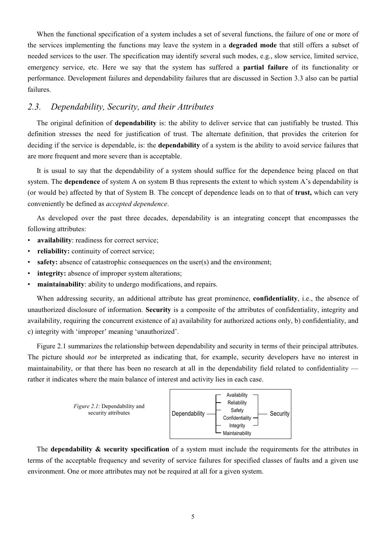When the functional specification of a system includes a set of several functions, the failure of one or more of the services implementing the functions may leave the system in a **degraded mode** that still offers a subset of needed services to the user. The specification may identify several such modes, e.g., slow service, limited service, emergency service, etc. Here we say that the system has suffered a **partial failure** of its functionality or performance. Development failures and dependability failures that are discussed in Section 3.3 also can be partial failures.

### *2.3. Dependability, Security, and their Attributes*

The original definition of **dependability** is: the ability to deliver service that can justifiably be trusted. This definition stresses the need for justification of trust. The alternate definition, that provides the criterion for deciding if the service is dependable, is: the **dependability** of a system is the ability to avoid service failures that are more frequent and more severe than is acceptable.

It is usual to say that the dependability of a system should suffice for the dependence being placed on that system. The **dependence** of system A on system B thus represents the extent to which system A's dependability is (or would be) affected by that of System B. The concept of dependence leads on to that of **trust,** which can very conveniently be defined as *accepted dependence*.

As developed over the past three decades, dependability is an integrating concept that encompasses the following attributes:

- availability: readiness for correct service;
- **reliability:** continuity of correct service;
- safety: absence of catastrophic consequences on the user(s) and the environment;
- **integrity:** absence of improper system alterations;
- **maintainability**: ability to undergo modifications, and repairs.

When addressing security, an additional attribute has great prominence, **confidentiality**, i.e., the absence of unauthorized disclosure of information. **Security** is a composite of the attributes of confidentiality, integrity and availability, requiring the concurrent existence of a) availability for authorized actions only, b) confidentiality, and c) integrity with 'improper' meaning 'unauthorized'.

Figure 2.1 summarizes the relationship between dependability and security in terms of their principal attributes. The picture should *not* be interpreted as indicating that, for example, security developers have no interest in maintainability, or that there has been no research at all in the dependability field related to confidentiality rather it indicates where the main balance of interest and activity lies in each case.



The **dependability & security specification** of a system must include the requirements for the attributes in terms of the acceptable frequency and severity of service failures for specified classes of faults and a given use environment. One or more attributes may not be required at all for a given system.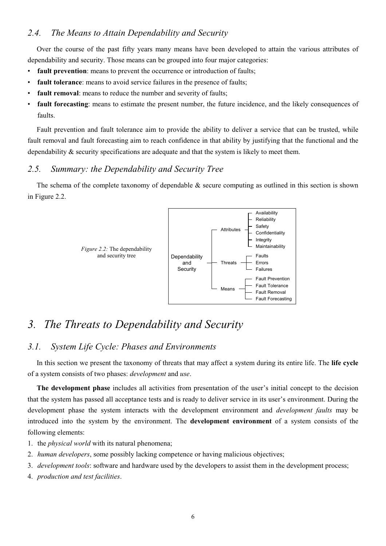### *2.4. The Means to Attain Dependability and Security*

Over the course of the past fifty years many means have been developed to attain the various attributes of dependability and security. Those means can be grouped into four major categories:

- **fault prevention**: means to prevent the occurrence or introduction of faults;
- fault tolerance: means to avoid service failures in the presence of faults;
- **fault removal**: means to reduce the number and severity of faults;
- **fault forecasting**: means to estimate the present number, the future incidence, and the likely consequences of faults.

Fault prevention and fault tolerance aim to provide the ability to deliver a service that can be trusted, while fault removal and fault forecasting aim to reach confidence in that ability by justifying that the functional and the dependability & security specifications are adequate and that the system is likely to meet them.

### *2.5. Summary: the Dependability and Security Tree*

The schema of the complete taxonomy of dependable  $\&$  secure computing as outlined in this section is shown in Figure 2.2.



# *3. The Threats to Dependability and Security*

### *3.1. System Life Cycle: Phases and Environments*

In this section we present the taxonomy of threats that may affect a system during its entire life. The **life cycle**  of a system consists of two phases: *development* and *use*.

**The development phase** includes all activities from presentation of the user's initial concept to the decision that the system has passed all acceptance tests and is ready to deliver service in its user's environment. During the development phase the system interacts with the development environment and *development faults* may be introduced into the system by the environment. The **development environment** of a system consists of the following elements:

- 1. the *physical world* with its natural phenomena;
- 2. *human developers*, some possibly lacking competence or having malicious objectives;
- 3. *development tools*: software and hardware used by the developers to assist them in the development process;
- 4. *production and test facilities*.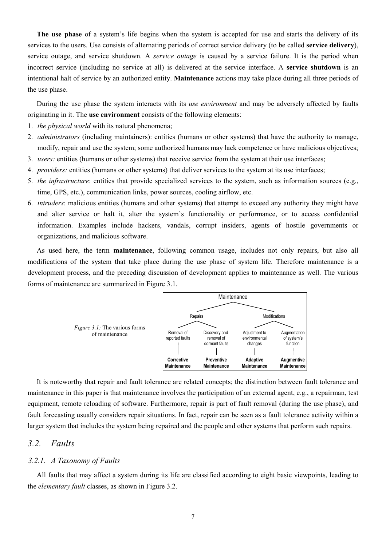**The use phase** of a system's life begins when the system is accepted for use and starts the delivery of its services to the users. Use consists of alternating periods of correct service delivery (to be called **service delivery**), service outage, and service shutdown. A *service outage* is caused by a service failure. It is the period when incorrect service (including no service at all) is delivered at the service interface. A **service shutdown** is an intentional halt of service by an authorized entity. **Maintenance** actions may take place during all three periods of the use phase.

During the use phase the system interacts with its *use environment* and may be adversely affected by faults originating in it. The **use environment** consists of the following elements:

- 1. *the physical world* with its natural phenomena;
- 2. *administrators* (including maintainers): entities (humans or other systems) that have the authority to manage, modify, repair and use the system; some authorized humans may lack competence or have malicious objectives;
- 3. *users:* entities (humans or other systems) that receive service from the system at their use interfaces;
- 4. *providers:* entities (humans or other systems) that deliver services to the system at its use interfaces;
- 5. *the infrastructure*: entities that provide specialized services to the system, such as information sources (e.g., time, GPS, etc.), communication links, power sources, cooling airflow, etc.
- 6. *intruders*: malicious entities (humans and other systems) that attempt to exceed any authority they might have and alter service or halt it, alter the system's functionality or performance, or to access confidential information. Examples include hackers, vandals, corrupt insiders, agents of hostile governments or organizations, and malicious software.

As used here, the term **maintenance**, following common usage, includes not only repairs, but also all modifications of the system that take place during the use phase of system life. Therefore maintenance is a development process, and the preceding discussion of development applies to maintenance as well. The various forms of maintenance are summarized in Figure 3.1.



It is noteworthy that repair and fault tolerance are related concepts; the distinction between fault tolerance and maintenance in this paper is that maintenance involves the participation of an external agent, e.g., a repairman, test equipment, remote reloading of software. Furthermore, repair is part of fault removal (during the use phase), and fault forecasting usually considers repair situations. In fact, repair can be seen as a fault tolerance activity within a larger system that includes the system being repaired and the people and other systems that perform such repairs.

### *3.2. Faults*

#### *3.2.1. A Taxonomy of Faults*

All faults that may affect a system during its life are classified according to eight basic viewpoints, leading to the *elementary fault* classes, as shown in Figure 3.2.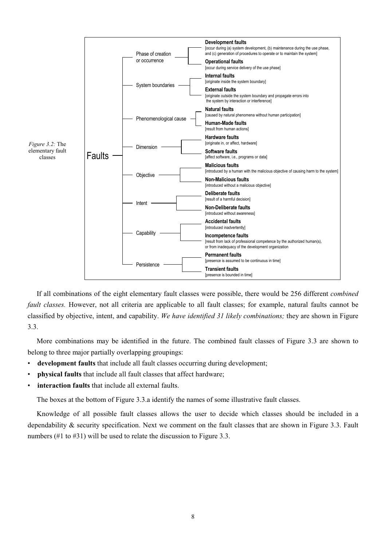

If all combinations of the eight elementary fault classes were possible, there would be 256 different *combined fault classes*. However, not all criteria are applicable to all fault classes; for example, natural faults cannot be classified by objective, intent, and capability. *We have identified 31 likely combinations;* they are shown in Figure 3.3.

More combinations may be identified in the future. The combined fault classes of Figure 3.3 are shown to belong to three major partially overlapping groupings:

- **development faults** that include all fault classes occurring during development;
- **physical faults** that include all fault classes that affect hardware;
- interaction faults that include all external faults.

The boxes at the bottom of Figure 3.3.a identify the names of some illustrative fault classes.

Knowledge of all possible fault classes allows the user to decide which classes should be included in a dependability & security specification. Next we comment on the fault classes that are shown in Figure 3.3. Fault numbers (#1 to #31) will be used to relate the discussion to Figure 3.3.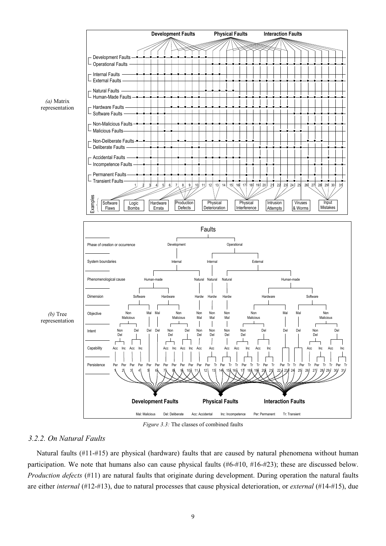

*Figure 3.3:* The classes of combined faults

#### *3.2.2. On Natural Faults*

Natural faults (#11-#15) are physical (hardware) faults that are caused by natural phenomena without human participation. We note that humans also can cause physical faults (#6-#10, #16-#23); these are discussed below. *Production defects* (#11) are natural faults that originate during development. During operation the natural faults are either *internal* (#12-#13), due to natural processes that cause physical deterioration, or *external* (#14-#15), due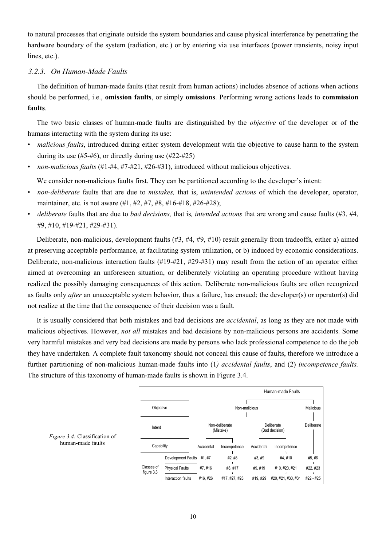to natural processes that originate outside the system boundaries and cause physical interference by penetrating the hardware boundary of the system (radiation, etc.) or by entering via use interfaces (power transients, noisy input lines, etc.).

#### *3.2.3. On Human-Made Faults*

The definition of human-made faults (that result from human actions) includes absence of actions when actions should be performed, i.e., **omission faults**, or simply **omissions**. Performing wrong actions leads to **commission faults**.

The two basic classes of human-made faults are distinguished by the *objective* of the developer or of the humans interacting with the system during its use:

- *malicious faults*, introduced during either system development with the objective to cause harm to the system during its use  $(\#5-\#6)$ , or directly during use  $(\#22-\#25)$
- *non-malicious faults* (#1-#4, #7-#21, #26-#31), introduced without malicious objectives.

We consider non-malicious faults first. They can be partitioned according to the developer's intent:

- *non-deliberate* faults that are due to *mistakes,* that is, *unintended actions* of which the developer, operator, maintainer, etc. is not aware (#1, #2, #7, #8, #16-#18, #26-#28);
- *deliberate* faults that are due to *bad decisions,* that is*, intended actions* that are wrong and cause faults (#3, #4, #9, #10, #19-#21, #29-#31).

Deliberate, non-malicious, development faults (#3, #4, #9, #10) result generally from tradeoffs, either a) aimed at preserving acceptable performance, at facilitating system utilization, or b) induced by economic considerations. Deliberate, non-malicious interaction faults (#19-#21, #29-#31) may result from the action of an operator either aimed at overcoming an unforeseen situation, or deliberately violating an operating procedure without having realized the possibly damaging consequences of this action. Deliberate non-malicious faults are often recognized as faults only *after* an unacceptable system behavior, thus a failure, has ensued; the developer(s) or operator(s) did not realize at the time that the consequence of their decision was a fault.

It is usually considered that both mistakes and bad decisions are *accidental*, as long as they are not made with malicious objectives. However, *not all* mistakes and bad decisions by non-malicious persons are accidents. Some very harmful mistakes and very bad decisions are made by persons who lack professional competence to do the job they have undertaken. A complete fault taxonomy should not conceal this cause of faults, therefore we introduce a further partitioning of non-malicious human-made faults into (1*) accidental faults*, and (2) *incompetence faults.*  The structure of this taxonomy of human-made faults is shown in Figure 3.4.

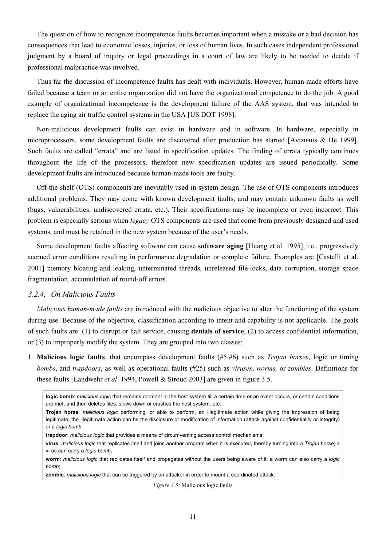The question of how to recognize incompetence faults becomes important when a mistake or a bad decision has consequences that lead to economic losses, injuries, or loss of human lives. In such cases independent professional judgment by a board of inquiry or legal proceedings in a court of law are likely to be needed to decide if professional malpractice was involved.

Thus far the discussion of incompetence faults has dealt with individuals. However, human-made efforts have failed because a team or an entire organization did not have the organizational competence to do the job. A good example of organizational incompetence is the development failure of the AAS system, that was intended to replace the aging air traffic control systems in the USA [US DOT 1998].

Non-malicious development faults can exist in hardware and in software. In hardware, especially in microprocessors, some development faults are discovered after production has started [Avizienis & He 1999]. Such faults are called "errata" and are listed in specification updates. The finding of errata typically continues throughout the life of the processors, therefore new specification updates are issued periodically. Some development faults are introduced because human-made tools are faulty.

Off-the-shelf (OTS) components are inevitably used in system design. The use of OTS components introduces additional problems. They may come with known development faults, and may contain unknown faults as well (bugs, vulnerabilities, undiscovered errata, etc.). Their specifications may be incomplete or even incorrect. This problem is especially serious when *legacy* OTS components are used that come from previously designed and used systems, and must be retained in the new system because of the user's needs.

Some development faults affecting software can cause **software aging** [Huang et al. 1995], i.e., progressively accrued error conditions resulting in performance degradation or complete failure. Examples are [Castelli et al. 2001] memory bloating and leaking, unterminated threads, unreleased file-locks, data corruption, storage space fragmentation, accumulation of round-off errors.

#### *3.2.4. On Malicious Faults*

*Malicious human-made faults* are introduced with the malicious objective to alter the functioning of the system during use. Because of the objective, classification according to intent and capability is not applicable. The goals of such faults are: (1) to disrupt or halt service, causing **denials of service**, (2) to access confidential information, or (3) to improperly modify the system. They are grouped into two classes:

1. **Malicious logic faults**, that encompass development faults (#5,#6) such as *Trojan horses*, logic or timing *bombs*, and *trapdoors*, as well as operational faults (#25) such as *viruses*, *worms,* or *zombies*. Definitions for these faults [Landwehr *et al*. 1994, Powell & Stroud 2003] are given in figure 3.5.

**logic bomb**: *malicious logic* that remains dormant in the host system till a certain time or an event occurs, or certain conditions are met, and then deletes files, slows down or crashes the host system, etc.

**zombie**: *malicious logic* that can be triggered by an attacker in order to mount a coordinated attack.

*Figure 3.5:* Malicious logic faults

**Trojan horse**: *malicious logic* performing, or able to perform, an illegitimate action while giving the impression of being legitimate; the illegitimate action can be the disclosure or modification of information (attack against confidentiality or integrity) or a *logic bomb*;

**trapdoor**: *malicious logic* that provides a means of circumventing access control mechanisms;

**virus**: *malicious logic* that replicates itself and joins another program when it is executed, thereby turning into a *Trojan horse*; a virus can carry a *logic bomb*;

**worm**: *malicious logic* that replicates itself and propagates without the users being aware of it; a worm can also carry a *logic bomb*;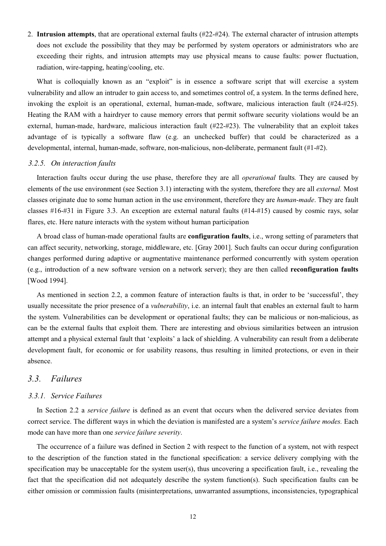2. **Intrusion attempts**, that are operational external faults (#22-#24). The external character of intrusion attempts does not exclude the possibility that they may be performed by system operators or administrators who are exceeding their rights, and intrusion attempts may use physical means to cause faults: power fluctuation, radiation, wire-tapping, heating/cooling, etc.

What is colloquially known as an "exploit" is in essence a software script that will exercise a system vulnerability and allow an intruder to gain access to, and sometimes control of, a system. In the terms defined here, invoking the exploit is an operational, external, human-made, software, malicious interaction fault (#24-#25). Heating the RAM with a hairdryer to cause memory errors that permit software security violations would be an external, human-made, hardware, malicious interaction fault (#22-#23). The vulnerability that an exploit takes advantage of is typically a software flaw (e.g. an unchecked buffer) that could be characterized as a developmental, internal, human-made, software, non-malicious, non-deliberate, permanent fault (#1-#2).

#### *3.2.5. On interaction faults*

Interaction faults occur during the use phase, therefore they are all *operational* faults*.* They are caused by elements of the use environment (see Section 3.1) interacting with the system, therefore they are all *external.* Most classes originate due to some human action in the use environment, therefore they are *human-made*. They are fault classes #16-#31 in Figure 3.3. An exception are external natural faults (#14-#15) caused by cosmic rays, solar flares, etc. Here nature interacts with the system without human participation

A broad class of human-made operational faults are **configuration faults**, i.e., wrong setting of parameters that can affect security, networking, storage, middleware, etc. [Gray 2001]. Such faults can occur during configuration changes performed during adaptive or augmentative maintenance performed concurrently with system operation (e.g., introduction of a new software version on a network server); they are then called **reconfiguration faults** [Wood 1994].

As mentioned in section 2.2, a common feature of interaction faults is that, in order to be 'successful', they usually necessitate the prior presence of a *vulnerability*, i.e. an internal fault that enables an external fault to harm the system. Vulnerabilities can be development or operational faults; they can be malicious or non-malicious, as can be the external faults that exploit them. There are interesting and obvious similarities between an intrusion attempt and a physical external fault that 'exploits' a lack of shielding. A vulnerability can result from a deliberate development fault, for economic or for usability reasons, thus resulting in limited protections, or even in their absence.

#### *3.3. Failures*

#### *3.3.1. Service Failures*

In Section 2.2 a *service failure* is defined as an event that occurs when the delivered service deviates from correct service. The different ways in which the deviation is manifested are a system's *service failure modes.* Each mode can have more than one *service failure severity*.

The occurrence of a failure was defined in Section 2 with respect to the function of a system, not with respect to the description of the function stated in the functional specification: a service delivery complying with the specification may be unacceptable for the system user(s), thus uncovering a specification fault, i.e., revealing the fact that the specification did not adequately describe the system function(s). Such specification faults can be either omission or commission faults (misinterpretations, unwarranted assumptions, inconsistencies, typographical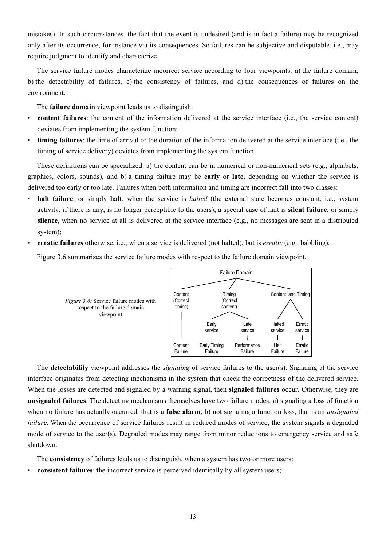mistakes). In such circumstances, the fact that the event is undesired (and is in fact a failure) may be recognized only after its occurrence, for instance via its consequences. So failures can be subjective and disputable, i.e., may require judgment to identify and characterize.

The service failure modes characterize incorrect service according to four viewpoints: a) the failure domain, b) the detectability of failures, c) the consistency of failures, and d) the consequences of failures on the environment.

The **failure domain** viewpoint leads us to distinguish:

- **content failures**: the content of the information delivered at the service interface (i.e., the service content) deviates from implementing the system function;
- **timing failures**: the time of arrival or the duration of the information delivered at the service interface (i.e., the timing of service delivery) deviates from implementing the system function.

These definitions can be specialized: a) the content can be in numerical or non-numerical sets (e.g., alphabets, graphics, colors, sounds), and b) a timing failure may be **early** or **late**, depending on whether the service is delivered too early or too late. Failures when both information and timing are incorrect fall into two classes:

- **halt failure**, or simply **halt**, when the service is *halted* (the external state becomes constant, i.e., system activity, if there is any, is no longer perceptible to the users); a special case of halt is **silent failure**, or simply **silence**, when no service at all is delivered at the service interface (e.g., no messages are sent in a distributed system);
- **erratic failures** otherwise, i.e., when a service is delivered (not halted), but is *erratic* (e.g., babbling)*.*

Figure 3.6 summarizes the service failure modes with respect to the failure domain viewpoint.



The **detectability** viewpoint addresses the *signaling* of service failures to the user(s). Signaling at the service interface originates from detecting mechanisms in the system that check the correctness of the delivered service. When the losses are detected and signaled by a warning signal, then **signaled failures** occur. Otherwise, they are **unsignaled failures**. The detecting mechanisms themselves have two failure modes: a) signaling a loss of function when no failure has actually occurred, that is a **false alarm**, b) not signaling a function loss, that is an *unsignaled failure*. When the occurrence of service failures result in reduced modes of service, the system signals a degraded mode of service to the user(s). Degraded modes may range from minor reductions to emergency service and safe shutdown.

The **consistency** of failures leads us to distinguish, when a system has two or more users:

• **consistent failures**: the incorrect service is perceived identically by all system users;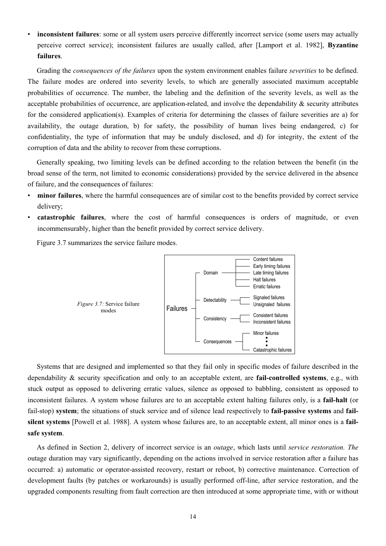• **inconsistent failures**: some or all system users perceive differently incorrect service (some users may actually perceive correct service); inconsistent failures are usually called, after [Lamport et al. 1982], **Byzantine failures**.

Grading the *consequences of the failures* upon the system environment enables failure *severities* to be defined. The failure modes are ordered into severity levels, to which are generally associated maximum acceptable probabilities of occurrence. The number, the labeling and the definition of the severity levels, as well as the acceptable probabilities of occurrence, are application-related, and involve the dependability & security attributes for the considered application(s). Examples of criteria for determining the classes of failure severities are a) for availability, the outage duration, b) for safety, the possibility of human lives being endangered, c) for confidentiality, the type of information that may be unduly disclosed, and d) for integrity, the extent of the corruption of data and the ability to recover from these corruptions.

Generally speaking, two limiting levels can be defined according to the relation between the benefit (in the broad sense of the term, not limited to economic considerations) provided by the service delivered in the absence of failure, and the consequences of failures:

- **minor failures**, where the harmful consequences are of similar cost to the benefits provided by correct service delivery;
- **catastrophic failures**, where the cost of harmful consequences is orders of magnitude, or even incommensurably, higher than the benefit provided by correct service delivery.

Figure 3.7 summarizes the service failure modes.



Systems that are designed and implemented so that they fail only in specific modes of failure described in the dependability & security specification and only to an acceptable extent, are **fail-controlled systems**, e.g., with stuck output as opposed to delivering erratic values, silence as opposed to babbling, consistent as opposed to inconsistent failures. A system whose failures are to an acceptable extent halting failures only, is a **fail-halt** (or fail-stop) **system**; the situations of stuck service and of silence lead respectively to **fail-passive systems** and **failsilent systems** [Powell et al. 1988]. A system whose failures are, to an acceptable extent, all minor ones is a **failsafe system**.

As defined in Section 2, delivery of incorrect service is an *outage*, which lasts until *service restoration. The* outage duration may vary significantly, depending on the actions involved in service restoration after a failure has occurred: a) automatic or operator-assisted recovery, restart or reboot, b) corrective maintenance. Correction of development faults (by patches or workarounds) is usually performed off-line, after service restoration, and the upgraded components resulting from fault correction are then introduced at some appropriate time, with or without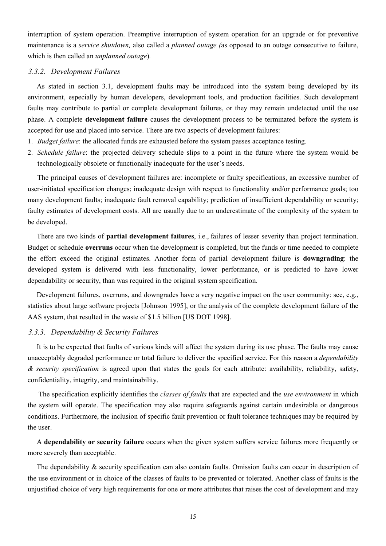interruption of system operation. Preemptive interruption of system operation for an upgrade or for preventive maintenance is a *service shutdown,* also called a *planned outage (*as opposed to an outage consecutive to failure, which is then called an *unplanned outage*)*.*

#### *3.3.2. Development Failures*

As stated in section 3.1, development faults may be introduced into the system being developed by its environment, especially by human developers, development tools, and production facilities. Such development faults may contribute to partial or complete development failures, or they may remain undetected until the use phase. A complete **development failure** causes the development process to be terminated before the system is accepted for use and placed into service. There are two aspects of development failures:

- 1. *Budget failure*: the allocated funds are exhausted before the system passes acceptance testing.
- 2. *Schedule failure*: the projected delivery schedule slips to a point in the future where the system would be technologically obsolete or functionally inadequate for the user's needs.

The principal causes of development failures are: incomplete or faulty specifications, an excessive number of user-initiated specification changes; inadequate design with respect to functionality and/or performance goals; too many development faults; inadequate fault removal capability; prediction of insufficient dependability or security; faulty estimates of development costs. All are usually due to an underestimate of the complexity of the system to be developed.

There are two kinds of **partial development failures**, i.e., failures of lesser severity than project termination. Budget or schedule **overruns** occur when the development is completed, but the funds or time needed to complete the effort exceed the original estimates. Another form of partial development failure is **downgrading**: the developed system is delivered with less functionality, lower performance, or is predicted to have lower dependability or security, than was required in the original system specification.

Development failures, overruns, and downgrades have a very negative impact on the user community: see, e.g., statistics about large software projects [Johnson 1995], or the analysis of the complete development failure of the AAS system, that resulted in the waste of \$1.5 billion [US DOT 1998].

#### *3.3.3. Dependability & Security Failures*

It is to be expected that faults of various kinds will affect the system during its use phase. The faults may cause unacceptably degraded performance or total failure to deliver the specified service. For this reason a *dependability & security specification* is agreed upon that states the goals for each attribute: availability, reliability, safety, confidentiality, integrity, and maintainability.

 The specification explicitly identifies the *classes of faults* that are expected and the *use environment* in which the system will operate. The specification may also require safeguards against certain undesirable or dangerous conditions. Furthermore, the inclusion of specific fault prevention or fault tolerance techniques may be required by the user.

A **dependability or security failure** occurs when the given system suffers service failures more frequently or more severely than acceptable.

The dependability & security specification can also contain faults. Omission faults can occur in description of the use environment or in choice of the classes of faults to be prevented or tolerated. Another class of faults is the unjustified choice of very high requirements for one or more attributes that raises the cost of development and may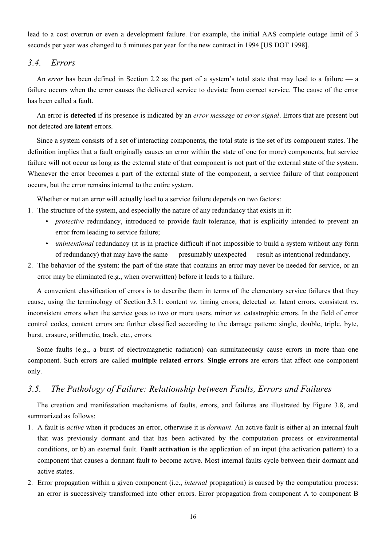lead to a cost overrun or even a development failure. For example, the initial AAS complete outage limit of 3 seconds per year was changed to 5 minutes per year for the new contract in 1994 [US DOT 1998].

### *3.4. Errors*

An *error* has been defined in Section 2.2 as the part of a system's total state that may lead to a failure — a failure occurs when the error causes the delivered service to deviate from correct service. The cause of the error has been called a fault.

An error is **detected** if its presence is indicated by an *error message* or *error signal*. Errors that are present but not detected are **latent** errors.

Since a system consists of a set of interacting components, the total state is the set of its component states. The definition implies that a fault originally causes an error within the state of one (or more) components, but service failure will not occur as long as the external state of that component is not part of the external state of the system. Whenever the error becomes a part of the external state of the component, a service failure of that component occurs, but the error remains internal to the entire system.

Whether or not an error will actually lead to a service failure depends on two factors:

- 1. The structure of the system, and especially the nature of any redundancy that exists in it:
	- *protective* redundancy, introduced to provide fault tolerance, that is explicitly intended to prevent an error from leading to service failure;
	- *unintentional* redundancy (it is in practice difficult if not impossible to build a system without any form of redundancy) that may have the same — presumably unexpected — result as intentional redundancy.
- 2. The behavior of the system: the part of the state that contains an error may never be needed for service, or an error may be eliminated (e.g., when overwritten) before it leads to a failure.

A convenient classification of errors is to describe them in terms of the elementary service failures that they cause, using the terminology of Section 3.3.1: content *vs*. timing errors, detected *vs*. latent errors, consistent *vs*. inconsistent errors when the service goes to two or more users, minor *vs*. catastrophic errors. In the field of error control codes, content errors are further classified according to the damage pattern: single, double, triple, byte, burst, erasure, arithmetic, track, etc., errors.

Some faults (e.g., a burst of electromagnetic radiation) can simultaneously cause errors in more than one component. Such errors are called **multiple related errors**. **Single errors** are errors that affect one component only.

#### *3.5. The Pathology of Failure: Relationship between Faults, Errors and Failures*

The creation and manifestation mechanisms of faults, errors, and failures are illustrated by Figure 3.8, and summarized as follows:

- 1. A fault is *active* when it produces an error, otherwise it is *dormant*. An active fault is either a) an internal fault that was previously dormant and that has been activated by the computation process or environmental conditions, or b) an external fault. **Fault activation** is the application of an input (the activation pattern) to a component that causes a dormant fault to become active. Most internal faults cycle between their dormant and active states.
- 2. Error propagation within a given component (i.e., *internal* propagation) is caused by the computation process: an error is successively transformed into other errors. Error propagation from component A to component B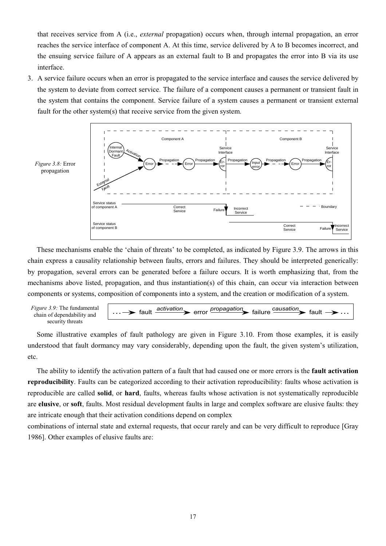that receives service from A (i.e., *external* propagation) occurs when, through internal propagation, an error reaches the service interface of component A. At this time, service delivered by A to B becomes incorrect, and the ensuing service failure of A appears as an external fault to B and propagates the error into B via its use interface.

3. A service failure occurs when an error is propagated to the service interface and causes the service delivered by the system to deviate from correct service. The failure of a component causes a permanent or transient fault in the system that contains the component. Service failure of a system causes a permanent or transient external fault for the other system(s) that receive service from the given system.



These mechanisms enable the 'chain of threats' to be completed, as indicated by Figure 3.9. The arrows in this chain express a causality relationship between faults, errors and failures. They should be interpreted generically: by propagation, several errors can be generated before a failure occurs. It is worth emphasizing that, from the mechanisms above listed, propagation, and thus instantiation(s) of this chain, can occur via interaction between components or systems, composition of components into a system, and the creation or modification of a system.



Some illustrative examples of fault pathology are given in Figure 3.10. From those examples, it is easily understood that fault dormancy may vary considerably, depending upon the fault, the given system's utilization, etc.

The ability to identify the activation pattern of a fault that had caused one or more errors is the **fault activation reproducibility**. Faults can be categorized according to their activation reproducibility: faults whose activation is reproducible are called **solid**, or **hard**, faults, whereas faults whose activation is not systematically reproducible are **elusive**, or **soft**, faults. Most residual development faults in large and complex software are elusive faults: they are intricate enough that their activation conditions depend on complex

combinations of internal state and external requests, that occur rarely and can be very difficult to reproduce [Gray 1986]. Other examples of elusive faults are: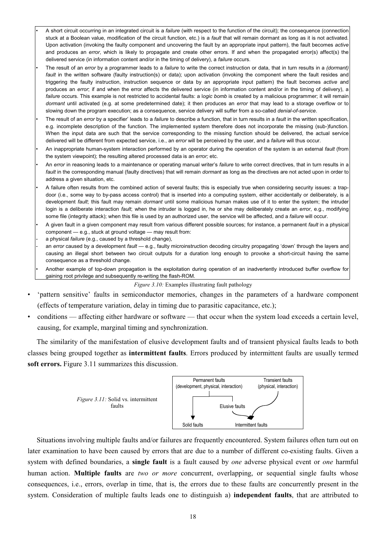- A short circuit occurring in an integrated circuit is a *failure* (with respect to the function of the circuit); the consequence (connection stuck at a Boolean value, modification of the circuit function, etc.) is a *fault* that will remain dormant as long as it is not activated. Upon activation (invoking the faulty component and uncovering the fault by an appropriate input pattern), the fault becomes *active* and produces an *error*, which is likely to propagate and create other errors. If and when the propagated error(s) affect(s) the delivered service (in information content and/or in the timing of delivery), a *failure* occurs.
- The result of an *error* by a programmer leads to a *failure* to write the correct instruction or data, that in turn results in a *(dormant) fault* in the written software (faulty instruction(s) or data); upon activation (invoking the component where the fault resides and triggering the faulty instruction, instruction sequence or data by an appropriate input pattern) the fault becomes *active* and produces an *error*; if and when the error affects the delivered service (in information content and/or in the timing of delivery), a *failure* occurs. This example is not restricted to accidental faults: a l*ogic bomb* is created by a malicious programmer; it will remain *dormant* until activated (e.g. at some predetermined date); it then produces an *error* that may lead to a storage overflow or to slowing down the program execution; as a consequence, service delivery will suffer from a so-called *denial-of-service*.
- The result of an *error* by a specifier' leads to a *failure* to describe a function, that in turn results in a *fault* in the written specification, e.g. incomplete description of the function. The implemented system therefore does not incorporate the missing (sub-)function. When the input data are such that the service corresponding to the missing function should be delivered, the actual service delivered will be different from expected service, i.e., an *error* will be perceived by the user, and a *failure* will thus occur.
- An inappropriate human-system interaction performed by an operator during the operation of the system is an external *fault* (from the system viewpoint); the resulting altered processed data is an *error;* etc.
- An *error* in reasoning leads to a maintenance or operating manual writer's *failure* to write correct directives, that in turn results in a *fault* in the corresponding manual (faulty directives) that will remain *dormant* as long as the directives are not acted upon in order to address a given situation, etc.
- A failure often results from the combined action of several faults; this is especially true when considering security issues: a trapdoor (i.e., some way to by-pass access control) that is inserted into a computing system, either accidentally or deliberately, is a development *fault*; this fault may remain *dormant* until some malicious human makes use of it to enter the system; the intruder login is a deliberate interaction *fault*; when the intruder is logged in, he or she may deliberately create an *error*, e.g., modifying some file (integrity attack); when this file is used by an authorized user, the service will be affected, and a *failure* will occur.
- A given fault in a given component may result from various different possible sources; for instance, a permanent *fault* in a physical component — e.g., stuck at ground voltage — may result from:
- a physical *failure* (e.g., caused by a threshold change),
- an *error* caused by a development *fault* e.g., faulty microinstruction decoding circuitry propagating 'down' through the layers and causing an illegal short between two circuit outputs for a duration long enough to provoke a short-circuit having the same consequence as a threshold change.
- Another example of top-down propagation is the exploitation during operation of an inadvertently introduced buffer overflow for gaining root privilege and subsequently re-writing the flash-ROM.

*Figure 3.10:* Examples illustrating fault pathology

- 'pattern sensitive' faults in semiconductor memories, changes in the parameters of a hardware component (effects of temperature variation, delay in timing due to parasitic capacitance, etc.);
- conditions affecting either hardware or software that occur when the system load exceeds a certain level, causing, for example, marginal timing and synchronization.

The similarity of the manifestation of elusive development faults and of transient physical faults leads to both classes being grouped together as **intermittent faults**. Errors produced by intermittent faults are usually termed **soft errors.** Figure 3.11 summarizes this discussion.



Situations involving multiple faults and/or failures are frequently encountered. System failures often turn out on later examination to have been caused by errors that are due to a number of different co-existing faults. Given a system with defined boundaries, a **single fault** is a fault caused by *one* adverse physical event or *one* harmful human action. **Multiple faults** are *two or more* concurrent, overlapping, or sequential single faults whose consequences, i.e., errors, overlap in time, that is, the errors due to these faults are concurrently present in the system. Consideration of multiple faults leads one to distinguish a) **independent faults**, that are attributed to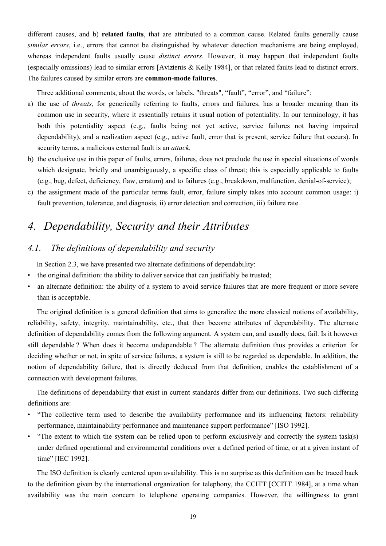different causes, and b) **related faults**, that are attributed to a common cause. Related faults generally cause *similar errors*, i.e., errors that cannot be distinguished by whatever detection mechanisms are being employed, whereas independent faults usually cause *distinct errors*. However, it may happen that independent faults (especially omissions) lead to similar errors [Avizienis & Kelly 1984], or that related faults lead to distinct errors. The failures caused by similar errors are **common-mode failures**.

Three additional comments, about the words, or labels, "threats", "fault", "error", and "failure":

- a) the use of *threats,* for generically referring to faults, errors and failures, has a broader meaning than its common use in security, where it essentially retains it usual notion of potentiality. In our terminology, it has both this potentiality aspect (e.g., faults being not yet active, service failures not having impaired dependability), and a realization aspect (e.g., active fault, error that is present, service failure that occurs). In security terms, a malicious external fault is an *attack*.
- b) the exclusive use in this paper of faults, errors, failures, does not preclude the use in special situations of words which designate, briefly and unambiguously, a specific class of threat; this is especially applicable to faults (e.g., bug, defect, deficiency, flaw, erratum) and to failures (e.g., breakdown, malfunction, denial-of-service);
- c) the assignment made of the particular terms fault, error, failure simply takes into account common usage: i) fault prevention, tolerance, and diagnosis, ii) error detection and correction, iii) failure rate.

# *4. Dependability, Security and their Attributes*

### *4.1. The definitions of dependability and security*

In Section 2.3, we have presented two alternate definitions of dependability:

- the original definition: the ability to deliver service that can justifiably be trusted;
- an alternate definition: the ability of a system to avoid service failures that are more frequent or more severe than is acceptable.

The original definition is a general definition that aims to generalize the more classical notions of availability, reliability, safety, integrity, maintainability, etc., that then become attributes of dependability. The alternate definition of dependability comes from the following argument. A system can, and usually does, fail. Is it however still dependable ? When does it become undependable ? The alternate definition thus provides a criterion for deciding whether or not, in spite of service failures, a system is still to be regarded as dependable. In addition, the notion of dependability failure, that is directly deduced from that definition, enables the establishment of a connection with development failures.

The definitions of dependability that exist in current standards differ from our definitions. Two such differing definitions are:

- "The collective term used to describe the availability performance and its influencing factors: reliability performance, maintainability performance and maintenance support performance" [ISO 1992].
- "The extent to which the system can be relied upon to perform exclusively and correctly the system task(s) under defined operational and environmental conditions over a defined period of time, or at a given instant of time" [IEC 1992].

The ISO definition is clearly centered upon availability. This is no surprise as this definition can be traced back to the definition given by the international organization for telephony, the CCITT [CCITT 1984], at a time when availability was the main concern to telephone operating companies. However, the willingness to grant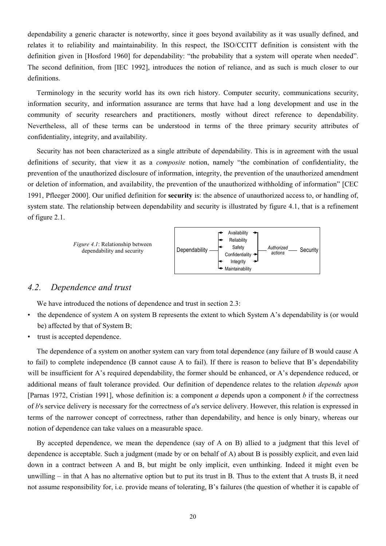dependability a generic character is noteworthy, since it goes beyond availability as it was usually defined, and relates it to reliability and maintainability. In this respect, the ISO/CCITT definition is consistent with the definition given in [Hosford 1960] for dependability: "the probability that a system will operate when needed". The second definition, from [IEC 1992], introduces the notion of reliance, and as such is much closer to our definitions.

Terminology in the security world has its own rich history. Computer security, communications security, information security, and information assurance are terms that have had a long development and use in the community of security researchers and practitioners, mostly without direct reference to dependability. Nevertheless, all of these terms can be understood in terms of the three primary security attributes of confidentiality, integrity, and availability.

Security has not been characterized as a single attribute of dependability. This is in agreement with the usual definitions of security, that view it as a *composite* notion, namely "the combination of confidentiality, the prevention of the unauthorized disclosure of information, integrity, the prevention of the unauthorized amendment or deletion of information, and availability, the prevention of the unauthorized withholding of information" [CEC 1991, Pfleeger 2000]. Our unified definition for **security** is: the absence of unauthorized access to, or handling of, system state. The relationship between dependability and security is illustrated by figure 4.1, that is a refinement of figure 2.1.



#### *4.2. Dependence and trust*

We have introduced the notions of dependence and trust in section 2.3:

- the dependence of system A on system B represents the extent to which System A's dependability is (or would be) affected by that of System B;
- trust is accepted dependence.

The dependence of a system on another system can vary from total dependence (any failure of B would cause A to fail) to complete independence (B cannot cause A to fail). If there is reason to believe that B's dependability will be insufficient for A's required dependability, the former should be enhanced, or A's dependence reduced, or additional means of fault tolerance provided. Our definition of dependence relates to the relation *depends upon* [Parnas 1972, Cristian 1991], whose definition is: a component *a* depends upon a component *b* if the correctness of *b*'s service delivery is necessary for the correctness of *a*'s service delivery. However, this relation is expressed in terms of the narrower concept of correctness, rather than dependability, and hence is only binary, whereas our notion of dependence can take values on a measurable space.

By accepted dependence, we mean the dependence (say of A on B) allied to a judgment that this level of dependence is acceptable. Such a judgment (made by or on behalf of A) about B is possibly explicit, and even laid down in a contract between A and B, but might be only implicit, even unthinking. Indeed it might even be unwilling  $-$  in that A has no alternative option but to put its trust in B. Thus to the extent that A trusts B, it need not assume responsibility for, i.e. provide means of tolerating, B's failures (the question of whether it is capable of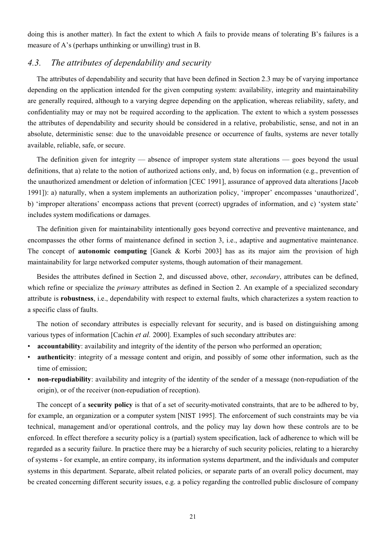doing this is another matter). In fact the extent to which A fails to provide means of tolerating B's failures is a measure of A's (perhaps unthinking or unwilling) trust in B.

### *4.3. The attributes of dependability and security*

The attributes of dependability and security that have been defined in Section 2.3 may be of varying importance depending on the application intended for the given computing system: availability, integrity and maintainability are generally required, although to a varying degree depending on the application, whereas reliability, safety, and confidentiality may or may not be required according to the application. The extent to which a system possesses the attributes of dependability and security should be considered in a relative, probabilistic, sense, and not in an absolute, deterministic sense: due to the unavoidable presence or occurrence of faults, systems are never totally available, reliable, safe, or secure.

The definition given for integrity — absence of improper system state alterations — goes beyond the usual definitions, that a) relate to the notion of authorized actions only, and, b) focus on information (e.g., prevention of the unauthorized amendment or deletion of information [CEC 1991], assurance of approved data alterations [Jacob 1991]): a) naturally, when a system implements an authorization policy, 'improper' encompasses 'unauthorized', b) 'improper alterations' encompass actions that prevent (correct) upgrades of information, and c) 'system state' includes system modifications or damages.

The definition given for maintainability intentionally goes beyond corrective and preventive maintenance, and encompasses the other forms of maintenance defined in section 3, i.e., adaptive and augmentative maintenance. The concept of **autonomic computing** [Ganek & Korbi 2003] has as its major aim the provision of high maintainability for large networked computer systems, though automation of their management.

Besides the attributes defined in Section 2, and discussed above, other, *secondary*, attributes can be defined, which refine or specialize the *primary* attributes as defined in Section 2. An example of a specialized secondary attribute is **robustness**, i.e., dependability with respect to external faults, which characterizes a system reaction to a specific class of faults.

The notion of secondary attributes is especially relevant for security, and is based on distinguishing among various types of information [Cachin *et al.* 2000]. Examples of such secondary attributes are:

- **accountability**: availability and integrity of the identity of the person who performed an operation;
- **authenticity**: integrity of a message content and origin, and possibly of some other information, such as the time of emission;
- **non-repudiability**: availability and integrity of the identity of the sender of a message (non-repudiation of the origin), or of the receiver (non-repudiation of reception).

The concept of a **security policy** is that of a set of security-motivated constraints, that are to be adhered to by, for example, an organization or a computer system [NIST 1995]. The enforcement of such constraints may be via technical, management and/or operational controls, and the policy may lay down how these controls are to be enforced. In effect therefore a security policy is a (partial) system specification, lack of adherence to which will be regarded as a security failure. In practice there may be a hierarchy of such security policies, relating to a hierarchy of systems - for example, an entire company, its information systems department, and the individuals and computer systems in this department. Separate, albeit related policies, or separate parts of an overall policy document, may be created concerning different security issues, e.g. a policy regarding the controlled public disclosure of company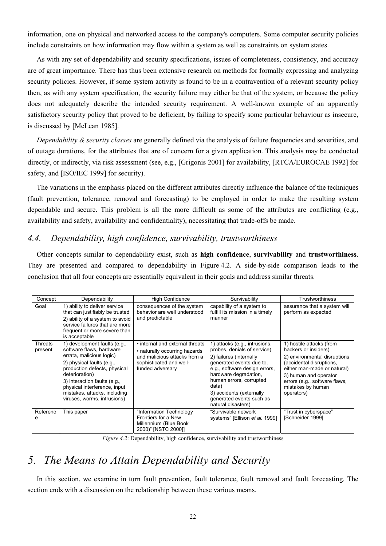information, one on physical and networked access to the company's computers. Some computer security policies include constraints on how information may flow within a system as well as constraints on system states.

As with any set of dependability and security specifications, issues of completeness, consistency, and accuracy are of great importance. There has thus been extensive research on methods for formally expressing and analyzing security policies. However, if some system activity is found to be in a contravention of a relevant security policy then, as with any system specification, the security failure may either be that of the system, or because the policy does not adequately describe the intended security requirement. A well-known example of an apparently satisfactory security policy that proved to be deficient, by failing to specify some particular behaviour as insecure, is discussed by [McLean 1985].

*Dependability & security classes* are generally defined via the analysis of failure frequencies and severities, and of outage durations, for the attributes that are of concern for a given application. This analysis may be conducted directly, or indirectly, via risk assessment (see, e.g., [Grigonis 2001] for availability, [RTCA/EUROCAE 1992] for safety, and [ISO/IEC 1999] for security).

The variations in the emphasis placed on the different attributes directly influence the balance of the techniques (fault prevention, tolerance, removal and forecasting) to be employed in order to make the resulting system dependable and secure. This problem is all the more difficult as some of the attributes are conflicting (e.g., availability and safety, availability and confidentiality), necessitating that trade-offs be made.

### *4.4. Dependability, high confidence, survivability, trustworthiness*

Other concepts similar to dependability exist, such as **high confidence**, **survivability** and **trustworthiness**. They are presented and compared to dependability in Figure 4.2. A side-by-side comparison leads to the conclusion that all four concepts are essentially equivalent in their goals and address similar threats.

| Concept            | Dependability                                                                                                                                                                                                                                                                                      | <b>High Confidence</b>                                                                                                                          | Survivability                                                                                                                                                                                                                                                                                   | <b>Trustworthiness</b>                                                                                                                                                                                                                   |  |  |
|--------------------|----------------------------------------------------------------------------------------------------------------------------------------------------------------------------------------------------------------------------------------------------------------------------------------------------|-------------------------------------------------------------------------------------------------------------------------------------------------|-------------------------------------------------------------------------------------------------------------------------------------------------------------------------------------------------------------------------------------------------------------------------------------------------|------------------------------------------------------------------------------------------------------------------------------------------------------------------------------------------------------------------------------------------|--|--|
| Goal               | 1) ability to deliver service<br>that can justifiably be trusted<br>2) ability of a system to avoid<br>service failures that are more<br>frequent or more severe than<br>is acceptable                                                                                                             | consequences of the system<br>behavior are well understood<br>and predictable                                                                   | capability of a system to<br>fulfill its mission in a timely<br>manner                                                                                                                                                                                                                          | assurance that a system will<br>perform as expected                                                                                                                                                                                      |  |  |
| Threats<br>present | 1) development faults (e.g.,<br>software flaws, hardware<br>errata, malicious logic)<br>2) physical faults (e.g.,<br>production defects, physical<br>deterioration)<br>3) interaction faults (e.g.,<br>physical interference, input<br>mistakes, attacks, including<br>viruses, worms, intrusions) | • internal and external threats<br>• naturally occurring hazards<br>and malicious attacks from a<br>sophisticated and well-<br>funded adversary | 1) attacks (e.g., intrusions,<br>probes, denials of service)<br>2) failures (internally<br>generated events due to,<br>e.g., software design errors,<br>hardware degradation,<br>human errors, corrupted<br>data)<br>3) accidents (externally<br>generated events such as<br>natural disasters) | 1) hostile attacks (from<br>hackers or insiders)<br>2) environmental disruptions<br>(accidental disruptions,<br>either man-made or natural)<br>3) human and operator<br>errors (e.g., software flaws,<br>mistakes by human<br>operators) |  |  |
| Referenc<br>е      | This paper                                                                                                                                                                                                                                                                                         | "Information Technology<br>Frontiers for a New<br>Millennium (Blue Book<br>2000)" [NSTC 2000]]                                                  | "Survivable network<br>systems" [Ellison et al. 1999]                                                                                                                                                                                                                                           | "Trust in cyberspace"<br>[Schneider 1999]                                                                                                                                                                                                |  |  |

*Figure 4.2*: Dependability, high confidence, survivability and trustworthiness

# *5. The Means to Attain Dependability and Security*

In this section, we examine in turn fault prevention, fault tolerance, fault removal and fault forecasting. The section ends with a discussion on the relationship between these various means.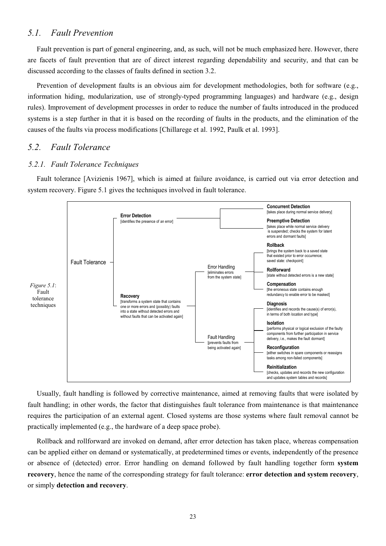### *5.1. Fault Prevention*

Fault prevention is part of general engineering, and, as such, will not be much emphasized here. However, there are facets of fault prevention that are of direct interest regarding dependability and security, and that can be discussed according to the classes of faults defined in section 3.2.

Prevention of development faults is an obvious aim for development methodologies, both for software (e.g., information hiding, modularization, use of strongly-typed programming languages) and hardware (e.g., design rules). Improvement of development processes in order to reduce the number of faults introduced in the produced systems is a step further in that it is based on the recording of faults in the products, and the elimination of the causes of the faults via process modifications [Chillarege et al. 1992, Paulk et al. 1993].

#### *5.2. Fault Tolerance*

#### *5.2.1. Fault Tolerance Techniques*

Fault tolerance [Avizienis 1967], which is aimed at failure avoidance, is carried out via error detection and system recovery. Figure 5.1 gives the techniques involved in fault tolerance.



Usually, fault handling is followed by corrective maintenance, aimed at removing faults that were isolated by fault handling; in other words, the factor that distinguishes fault tolerance from maintenance is that maintenance requires the participation of an external agent. Closed systems are those systems where fault removal cannot be practically implemented (e.g., the hardware of a deep space probe).

Rollback and rollforward are invoked on demand, after error detection has taken place, whereas compensation can be applied either on demand or systematically, at predetermined times or events, independently of the presence or absence of (detected) error. Error handling on demand followed by fault handling together form **system recovery**, hence the name of the corresponding strategy for fault tolerance: **error detection and system recovery**, or simply **detection and recovery**.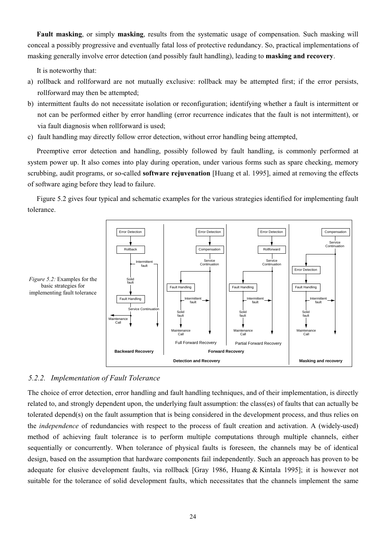**Fault masking**, or simply **masking**, results from the systematic usage of compensation. Such masking will conceal a possibly progressive and eventually fatal loss of protective redundancy. So, practical implementations of masking generally involve error detection (and possibly fault handling), leading to **masking and recovery**.

It is noteworthy that:

- a) rollback and rollforward are not mutually exclusive: rollback may be attempted first; if the error persists, rollforward may then be attempted;
- b) intermittent faults do not necessitate isolation or reconfiguration; identifying whether a fault is intermittent or not can be performed either by error handling (error recurrence indicates that the fault is not intermittent), or via fault diagnosis when rollforward is used;
- c) fault handling may directly follow error detection, without error handling being attempted,

Preemptive error detection and handling, possibly followed by fault handling, is commonly performed at system power up. It also comes into play during operation, under various forms such as spare checking, memory scrubbing, audit programs, or so-called **software rejuvenation** [Huang et al. 1995], aimed at removing the effects of software aging before they lead to failure.

Figure 5.2 gives four typical and schematic examples for the various strategies identified for implementing fault tolerance.



*Figure 5.2:* Examples for the basic strategies for implementing fault tolerance

#### *5.2.2. Implementation of Fault Tolerance*

The choice of error detection, error handling and fault handling techniques, and of their implementation, is directly related to, and strongly dependent upon, the underlying fault assumption: the class(es) of faults that can actually be tolerated depend(s) on the fault assumption that is being considered in the development process, and thus relies on the *independence* of redundancies with respect to the process of fault creation and activation. A (widely-used) method of achieving fault tolerance is to perform multiple computations through multiple channels, either sequentially or concurrently. When tolerance of physical faults is foreseen, the channels may be of identical design, based on the assumption that hardware components fail independently. Such an approach has proven to be adequate for elusive development faults, via rollback [Gray 1986, Huang & Kintala 1995]; it is however not suitable for the tolerance of solid development faults, which necessitates that the channels implement the same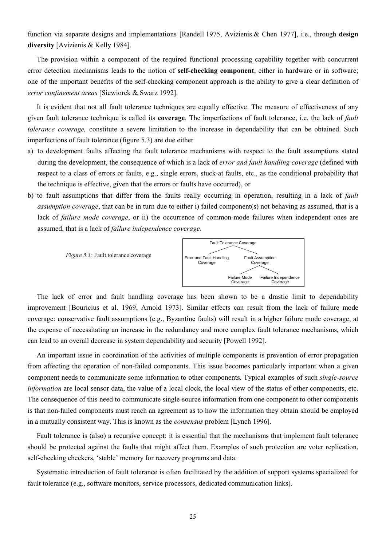function via separate designs and implementations [Randell 1975, Avizienis & Chen 1977], i.e., through **design diversity** [Avizienis & Kelly 1984].

The provision within a component of the required functional processing capability together with concurrent error detection mechanisms leads to the notion of **self-checking component**, either in hardware or in software; one of the important benefits of the self-checking component approach is the ability to give a clear definition of *error confinement areas* [Siewiorek & Swarz 1992].

It is evident that not all fault tolerance techniques are equally effective. The measure of effectiveness of any given fault tolerance technique is called its **coverage**. The imperfections of fault tolerance, i.e. the lack of *fault tolerance coverage,* constitute a severe limitation to the increase in dependability that can be obtained. Such imperfections of fault tolerance (figure 5.3) are due either

- a) to development faults affecting the fault tolerance mechanisms with respect to the fault assumptions stated during the development, the consequence of which is a lack of *error and fault handling coverage* (defined with respect to a class of errors or faults, e.g., single errors, stuck-at faults, etc., as the conditional probability that the technique is effective, given that the errors or faults have occurred), or
- b) to fault assumptions that differ from the faults really occurring in operation, resulting in a lack of *fault assumption coverage*, that can be in turn due to either i) failed component(s) not behaving as assumed, that is a lack of *failure mode coverage*, or ii) the occurrence of common-mode failures when independent ones are assumed, that is a lack of *failure independence coverage*.

*Figure 5.3:* Fault tolerance coverage



The lack of error and fault handling coverage has been shown to be a drastic limit to dependability improvement [Bouricius et al. 1969, Arnold 1973]. Similar effects can result from the lack of failure mode coverage: conservative fault assumptions (e.g., Byzantine faults) will result in a higher failure mode coverage, at the expense of necessitating an increase in the redundancy and more complex fault tolerance mechanisms, which can lead to an overall decrease in system dependability and security [Powell 1992].

An important issue in coordination of the activities of multiple components is prevention of error propagation from affecting the operation of non-failed components. This issue becomes particularly important when a given component needs to communicate some information to other components. Typical examples of such *single-source information* are local sensor data, the value of a local clock, the local view of the status of other components, etc. The consequence of this need to communicate single-source information from one component to other components is that non-failed components must reach an agreement as to how the information they obtain should be employed in a mutually consistent way. This is known as the *consensus* problem [Lynch 1996].

Fault tolerance is (also) a recursive concept: it is essential that the mechanisms that implement fault tolerance should be protected against the faults that might affect them. Examples of such protection are voter replication, self-checking checkers, 'stable' memory for recovery programs and data.

Systematic introduction of fault tolerance is often facilitated by the addition of support systems specialized for fault tolerance (e.g., software monitors, service processors, dedicated communication links).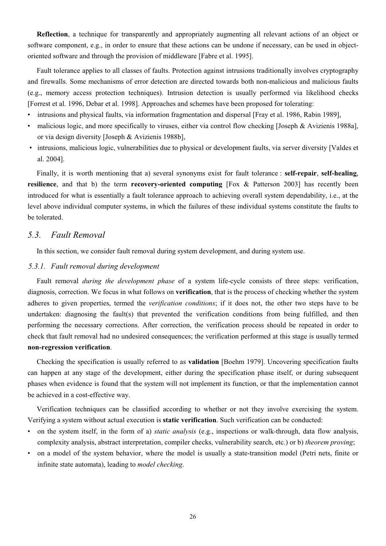**Reflection**, a technique for transparently and appropriately augmenting all relevant actions of an object or software component, e.g., in order to ensure that these actions can be undone if necessary, can be used in objectoriented software and through the provision of middleware [Fabre et al. 1995].

Fault tolerance applies to all classes of faults. Protection against intrusions traditionally involves cryptography and firewalls. Some mechanisms of error detection are directed towards both non-malicious and malicious faults (e.g., memory access protection techniques). Intrusion detection is usually performed via likelihood checks [Forrest et al. 1996, Debar et al. 1998]. Approaches and schemes have been proposed for tolerating:

- intrusions and physical faults, via information fragmentation and dispersal [Fray et al. 1986, Rabin 1989],
- malicious logic, and more specifically to viruses, either via control flow checking [Joseph & Avizienis 1988a], or via design diversity [Joseph & Avizienis 1988b],
- intrusions, malicious logic, vulnerabilities due to physical or development faults, via server diversity [Valdes et al. 2004].

Finally, it is worth mentioning that a) several synonyms exist for fault tolerance : **self-repair**, **self-healing**, **resilience**, and that b) the term **recovery-oriented computing** [Fox & Patterson 2003] has recently been introduced for what is essentially a fault tolerance approach to achieving overall system dependability, i.e., at the level above individual computer systems, in which the failures of these individual systems constitute the faults to be tolerated.

### *5.3. Fault Removal*

In this section, we consider fault removal during system development, and during system use.

#### *5.3.1. Fault removal during development*

Fault removal *during the development phase* of a system life-cycle consists of three steps: verification, diagnosis, correction. We focus in what follows on **verification**, that is the process of checking whether the system adheres to given properties, termed the *verification conditions*; if it does not, the other two steps have to be undertaken: diagnosing the fault(s) that prevented the verification conditions from being fulfilled, and then performing the necessary corrections. After correction, the verification process should be repeated in order to check that fault removal had no undesired consequences; the verification performed at this stage is usually termed **non-regression verification**.

Checking the specification is usually referred to as **validation** [Boehm 1979]. Uncovering specification faults can happen at any stage of the development, either during the specification phase itself, or during subsequent phases when evidence is found that the system will not implement its function, or that the implementation cannot be achieved in a cost-effective way.

Verification techniques can be classified according to whether or not they involve exercising the system. Verifying a system without actual execution is **static verification**. Such verification can be conducted:

- on the system itself, in the form of a) *static analysis* (e.g., inspections or walk-through, data flow analysis, complexity analysis, abstract interpretation, compiler checks, vulnerability search, etc.) or b) *theorem proving*;
- on a model of the system behavior, where the model is usually a state-transition model (Petri nets, finite or infinite state automata), leading to *model checking*.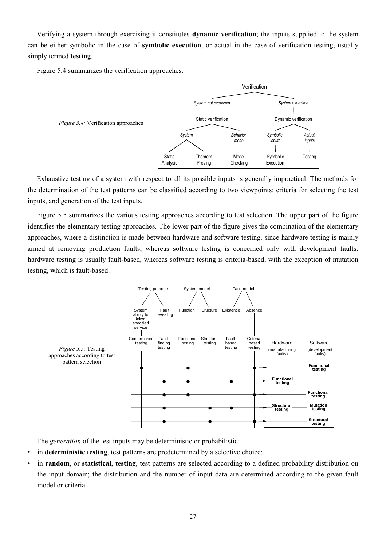Verifying a system through exercising it constitutes **dynamic verification**; the inputs supplied to the system can be either symbolic in the case of **symbolic execution**, or actual in the case of verification testing, usually simply termed **testing**.

Figure 5.4 summarizes the verification approaches.



Exhaustive testing of a system with respect to all its possible inputs is generally impractical. The methods for the determination of the test patterns can be classified according to two viewpoints: criteria for selecting the test inputs, and generation of the test inputs.

Figure 5.5 summarizes the various testing approaches according to test selection. The upper part of the figure identifies the elementary testing approaches. The lower part of the figure gives the combination of the elementary approaches, where a distinction is made between hardware and software testing, since hardware testing is mainly aimed at removing production faults, whereas software testing is concerned only with development faults: hardware testing is usually fault-based, whereas software testing is criteria-based, with the exception of mutation testing, which is fault-based.



The *generation* of the test inputs may be deterministic or probabilistic:

- in **deterministic testing**, test patterns are predetermined by a selective choice;
- in **random**, or **statistical**, **testing**, test patterns are selected according to a defined probability distribution on the input domain; the distribution and the number of input data are determined according to the given fault model or criteria.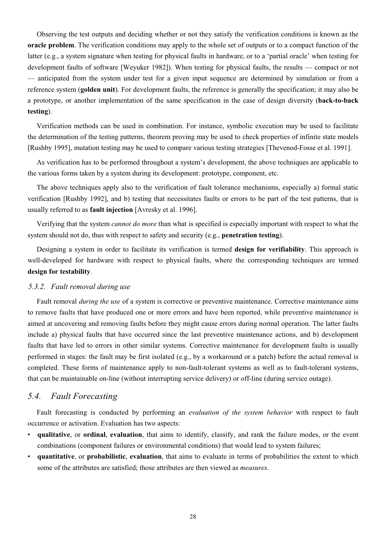Observing the test outputs and deciding whether or not they satisfy the verification conditions is known as the **oracle problem**. The verification conditions may apply to the whole set of outputs or to a compact function of the latter (e.g., a system signature when testing for physical faults in hardware, or to a 'partial oracle' when testing for development faults of software [Weyuker 1982]). When testing for physical faults, the results — compact or not — anticipated from the system under test for a given input sequence are determined by simulation or from a reference system (**golden unit**). For development faults, the reference is generally the specification; it may also be a prototype, or another implementation of the same specification in the case of design diversity (**back-to-back testing**).

Verification methods can be used in combination. For instance, symbolic execution may be used to facilitate the determination of the testing patterns, theorem proving may be used to check properties of infinite state models [Rushby 1995], mutation testing may be used to compare various testing strategies [Thevenod-Fosse et al. 1991].

As verification has to be performed throughout a system's development, the above techniques are applicable to the various forms taken by a system during its development: prototype, component, etc.

The above techniques apply also to the verification of fault tolerance mechanisms, especially a) formal static verification [Rushby 1992], and b) testing that necessitates faults or errors to be part of the test patterns, that is usually referred to as **fault injection** [Avresky et al. 1996].

Verifying that the system *cannot do more* than what is specified is especially important with respect to what the system should not do, thus with respect to safety and security (e.g., **penetration testing**).

Designing a system in order to facilitate its verification is termed **design for verifiability**. This approach is well-developed for hardware with respect to physical faults, where the corresponding techniques are termed **design for testability**.

#### *5.3.2. Fault removal during use*

Fault removal *during the use* of a system is corrective or preventive maintenance. Corrective maintenance aims to remove faults that have produced one or more errors and have been reported, while preventive maintenance is aimed at uncovering and removing faults before they might cause errors during normal operation. The latter faults include a) physical faults that have occurred since the last preventive maintenance actions, and b) development faults that have led to errors in other similar systems. Corrective maintenance for development faults is usually performed in stages: the fault may be first isolated (e.g., by a workaround or a patch) before the actual removal is completed. These forms of maintenance apply to non-fault-tolerant systems as well as to fault-tolerant systems, that can be maintainable on-line (without interrupting service delivery) or off-line (during service outage).

### *5.4. Fault Forecasting*

Fault forecasting is conducted by performing an *evaluation of the system behavior* with respect to fault occurrence or activation. Evaluation has two aspects:

- **qualitative**, or **ordinal**, **evaluation**, that aims to identify, classify, and rank the failure modes, or the event combinations (component failures or environmental conditions) that would lead to system failures;
- **quantitative**, or **probabilistic**, **evaluation**, that aims to evaluate in terms of probabilities the extent to which some of the attributes are satisfied; those attributes are then viewed as *measures*.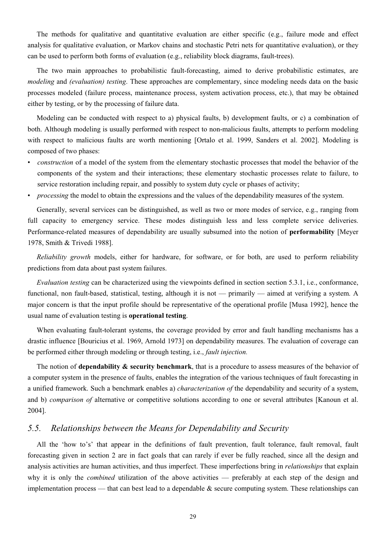The methods for qualitative and quantitative evaluation are either specific (e.g., failure mode and effect analysis for qualitative evaluation, or Markov chains and stochastic Petri nets for quantitative evaluation), or they can be used to perform both forms of evaluation (e.g., reliability block diagrams, fault-trees).

The two main approaches to probabilistic fault-forecasting, aimed to derive probabilistic estimates, are *modeling* and *(evaluation) testing*. These approaches are complementary, since modeling needs data on the basic processes modeled (failure process, maintenance process, system activation process, etc.), that may be obtained either by testing, or by the processing of failure data.

Modeling can be conducted with respect to a) physical faults, b) development faults, or c) a combination of both. Although modeling is usually performed with respect to non-malicious faults, attempts to perform modeling with respect to malicious faults are worth mentioning [Ortalo et al. 1999, Sanders et al. 2002]. Modeling is composed of two phases:

- *construction* of a model of the system from the elementary stochastic processes that model the behavior of the components of the system and their interactions; these elementary stochastic processes relate to failure, to service restoration including repair, and possibly to system duty cycle or phases of activity;
- *processing* the model to obtain the expressions and the values of the dependability measures of the system.

Generally, several services can be distinguished, as well as two or more modes of service, e.g., ranging from full capacity to emergency service. These modes distinguish less and less complete service deliveries. Performance-related measures of dependability are usually subsumed into the notion of **performability** [Meyer 1978, Smith & Trivedi 1988].

*Reliability growth* models, either for hardware, for software, or for both, are used to perform reliability predictions from data about past system failures.

*Evaluation testing* can be characterized using the viewpoints defined in section section 5.3.1, i.e., conformance, functional, non fault-based, statistical, testing, although it is not — primarily — aimed at verifying a system. A major concern is that the input profile should be representative of the operational profile [Musa 1992], hence the usual name of evaluation testing is **operational testing**.

When evaluating fault-tolerant systems, the coverage provided by error and fault handling mechanisms has a drastic influence [Bouricius et al. 1969, Arnold 1973] on dependability measures. The evaluation of coverage can be performed either through modeling or through testing, i.e., *fault injection.*

The notion of **dependability & security benchmark**, that is a procedure to assess measures of the behavior of a computer system in the presence of faults, enables the integration of the various techniques of fault forecasting in a unified framework. Such a benchmark enables a) *characterization of* the dependability and security of a system, and b) *comparison of* alternative or competitive solutions according to one or several attributes [Kanoun et al. 2004].

#### *5.5. Relationships between the Means for Dependability and Security*

All the 'how to's' that appear in the definitions of fault prevention, fault tolerance, fault removal, fault forecasting given in section 2 are in fact goals that can rarely if ever be fully reached, since all the design and analysis activities are human activities, and thus imperfect. These imperfections bring in *relationships* that explain why it is only the *combined* utilization of the above activities — preferably at each step of the design and implementation process — that can best lead to a dependable & secure computing system. These relationships can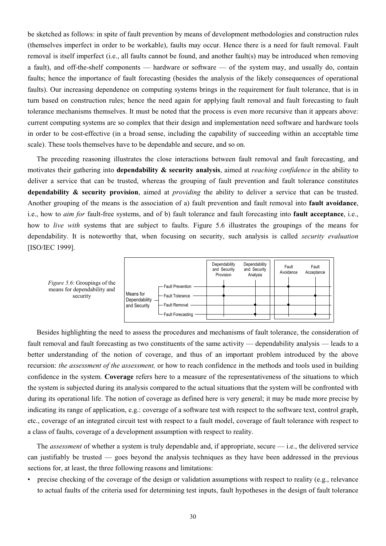be sketched as follows: in spite of fault prevention by means of development methodologies and construction rules (themselves imperfect in order to be workable), faults may occur. Hence there is a need for fault removal. Fault removal is itself imperfect (i.e., all faults cannot be found, and another fault(s) may be introduced when removing a fault), and off-the-shelf components — hardware or software — of the system may, and usually do, contain faults; hence the importance of fault forecasting (besides the analysis of the likely consequences of operational faults). Our increasing dependence on computing systems brings in the requirement for fault tolerance, that is in turn based on construction rules; hence the need again for applying fault removal and fault forecasting to fault tolerance mechanisms themselves. It must be noted that the process is even more recursive than it appears above: current computing systems are so complex that their design and implementation need software and hardware tools in order to be cost-effective (in a broad sense, including the capability of succeeding within an acceptable time scale). These tools themselves have to be dependable and secure, and so on.

The preceding reasoning illustrates the close interactions between fault removal and fault forecasting, and motivates their gathering into **dependability & security analysis**, aimed at *reaching confidence* in the ability to deliver a service that can be trusted, whereas the grouping of fault prevention and fault tolerance constitutes **dependability & security provision**, aimed at *providing* the ability to deliver a service that can be trusted. Another grouping of the means is the association of a) fault prevention and fault removal into **fault avoidance**, i.e., how to *aim for* fault-free systems, and of b) fault tolerance and fault forecasting into **fault acceptance**, i.e., how to *live with* systems that are subject to faults. Figure 5.6 illustrates the groupings of the means for dependability. It is noteworthy that, when focusing on security, such analysis is called *security evaluation* [ISO/IEC 1999].

|                                                                                |                                            |                                                                                                  | Dependability<br>Dependability<br>and Security<br>and Security<br>Provision<br>Analysis |  | Fault<br>Fault<br>Avoidance<br>Acceptance |  |  |
|--------------------------------------------------------------------------------|--------------------------------------------|--------------------------------------------------------------------------------------------------|-----------------------------------------------------------------------------------------|--|-------------------------------------------|--|--|
| <i>Figure 5.6:</i> Groupings of the<br>means for dependability and<br>security | Means for<br>Dependability<br>and Security | <b>Fault Prevention</b><br><b>Fault Tolerance</b><br><b>Fault Removal</b><br>- Fault Forecasting |                                                                                         |  |                                           |  |  |

Besides highlighting the need to assess the procedures and mechanisms of fault tolerance, the consideration of fault removal and fault forecasting as two constituents of the same activity — dependability analysis — leads to a better understanding of the notion of coverage, and thus of an important problem introduced by the above recursion: *the assessment of the assessment,* or how to reach confidence in the methods and tools used in building confidence in the system. **Coverage** refers here to a measure of the representativeness of the situations to which the system is subjected during its analysis compared to the actual situations that the system will be confronted with during its operational life. The notion of coverage as defined here is very general; it may be made more precise by indicating its range of application, e.g.: coverage of a software test with respect to the software text, control graph, etc., coverage of an integrated circuit test with respect to a fault model, coverage of fault tolerance with respect to a class of faults, coverage of a development assumption with respect to reality.

The *assessment* of whether a system is truly dependable and, if appropriate, secure — i.e., the delivered service can justifiably be trusted — goes beyond the analysis techniques as they have been addressed in the previous sections for, at least, the three following reasons and limitations:

• precise checking of the coverage of the design or validation assumptions with respect to reality (e.g., relevance to actual faults of the criteria used for determining test inputs, fault hypotheses in the design of fault tolerance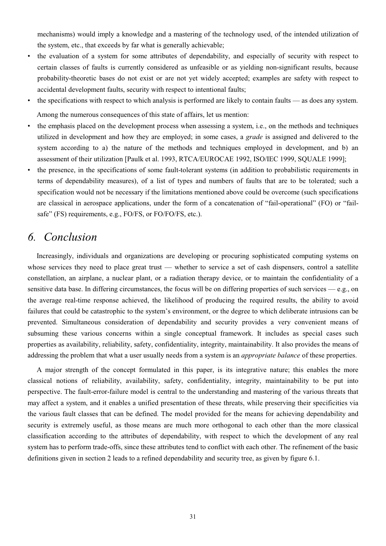mechanisms) would imply a knowledge and a mastering of the technology used, of the intended utilization of the system, etc., that exceeds by far what is generally achievable;

- the evaluation of a system for some attributes of dependability, and especially of security with respect to certain classes of faults is currently considered as unfeasible or as yielding non-significant results, because probability-theoretic bases do not exist or are not yet widely accepted; examples are safety with respect to accidental development faults, security with respect to intentional faults;
- the specifications with respect to which analysis is performed are likely to contain faults as does any system. Among the numerous consequences of this state of affairs, let us mention:
- the emphasis placed on the development process when assessing a system, i.e., on the methods and techniques utilized in development and how they are employed; in some cases, a *grade* is assigned and delivered to the system according to a) the nature of the methods and techniques employed in development, and b) an assessment of their utilization [Paulk et al. 1993, RTCA/EUROCAE 1992, ISO/IEC 1999, SQUALE 1999];
- the presence, in the specifications of some fault-tolerant systems (in addition to probabilistic requirements in terms of dependability measures), of a list of types and numbers of faults that are to be tolerated; such a specification would not be necessary if the limitations mentioned above could be overcome (such specifications are classical in aerospace applications, under the form of a concatenation of "fail-operational" (FO) or "failsafe" (FS) requirements, e.g., FO/FS, or FO/FO/FS, etc.).

# *6. Conclusion*

Increasingly, individuals and organizations are developing or procuring sophisticated computing systems on whose services they need to place great trust — whether to service a set of cash dispensers, control a satellite constellation, an airplane, a nuclear plant, or a radiation therapy device, or to maintain the confidentiality of a sensitive data base. In differing circumstances, the focus will be on differing properties of such services  $-$  e.g., on the average real-time response achieved, the likelihood of producing the required results, the ability to avoid failures that could be catastrophic to the system's environment, or the degree to which deliberate intrusions can be prevented. Simultaneous consideration of dependability and security provides a very convenient means of subsuming these various concerns within a single conceptual framework. It includes as special cases such properties as availability, reliability, safety, confidentiality, integrity, maintainability. It also provides the means of addressing the problem that what a user usually needs from a system is an *appropriate balance* of these properties.

A major strength of the concept formulated in this paper, is its integrative nature; this enables the more classical notions of reliability, availability, safety, confidentiality, integrity, maintainability to be put into perspective. The fault-error-failure model is central to the understanding and mastering of the various threats that may affect a system, and it enables a unified presentation of these threats, while preserving their specificities via the various fault classes that can be defined. The model provided for the means for achieving dependability and security is extremely useful, as those means are much more orthogonal to each other than the more classical classification according to the attributes of dependability, with respect to which the development of any real system has to perform trade-offs, since these attributes tend to conflict with each other. The refinement of the basic definitions given in section 2 leads to a refined dependability and security tree, as given by figure 6.1.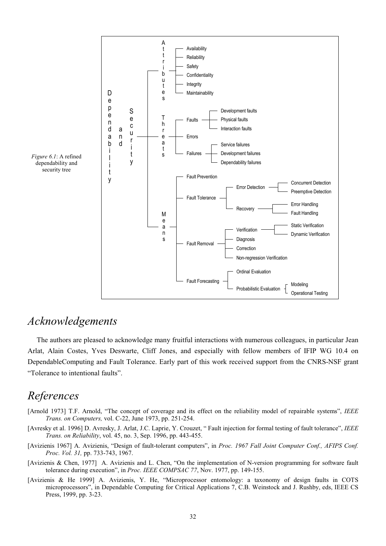

# *Acknowledgements*

The authors are pleased to acknowledge many fruitful interactions with numerous colleagues, in particular Jean Arlat, Alain Costes, Yves Deswarte, Cliff Jones, and especially with fellow members of IFIP WG 10.4 on DependableComputing and Fault Tolerance. Early part of this work received support from the CNRS-NSF grant "Tolerance to intentional faults".

# *References*

- [Arnold 1973] T.F. Arnold, "The concept of coverage and its effect on the reliability model of repairable systems", *IEEE Trans. on Computers,* vol. C-22, June 1973, pp. 251-254.
- [Avresky et al. 1996] D. Avresky, J. Arlat, J.C. Laprie, Y. Crouzet, " Fault injection for formal testing of fault tolerance", *IEEE Trans. on Reliability*, vol. 45, no. 3, Sep. 1996, pp. 443-455.
- [Avizienis 1967] A. Avizienis, "Design of fault-tolerant computers", in *Proc. 1967 Fall Joint Computer Conf., AFIPS Conf. Proc. Vol. 31,* pp. 733-743, 1967.
- [Avizienis & Chen, 1977] A. Avizienis and L. Chen, "On the implementation of N-version programming for software fault tolerance during execution", in *Proc. IEEE COMPSAC 77*, Nov. 1977, pp. 149-155.
- [Avizienis & He 1999] A. Avizienis, Y. He, "Microprocessor entomology: a taxonomy of design faults in COTS microprocessors", in Dependable Computing for Critical Applications 7, C.B. Weinstock and J. Rushby, eds, IEEE CS Press, 1999, pp. 3-23.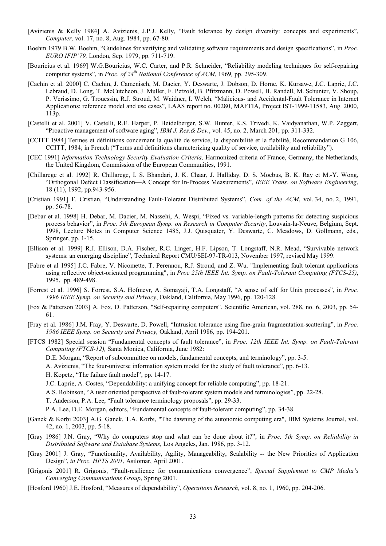- [Avizienis & Kelly 1984] A. Avizienis, J.P.J. Kelly, "Fault tolerance by design diversity: concepts and experiments", *Computer,* vol. 17, no. 8, Aug. 1984, pp. 67-80.
- Boehm 1979 B.W. Boehm, "Guidelines for verifying and validating software requirements and design specifications", in *Proc. EURO IFIP'79,* London, Sep. 1979, pp. 711-719.
- [Bouricius et al. 1969] W.G.Bouricius, W.C. Carter, and P.R. Schneider, "Reliability modeling techniques for self-repairing computer systems", in *Proc. of 24th National Conference of ACM*, 1969*,* pp. 295-309.
- [Cachin et al. 2000] C. Cachin, J. Camenisch, M. Dacier, Y. Deswarte, J. Dobson, D. Horne, K. Kursawe, J.C. Laprie, J.C. Lebraud, D. Long, T. McCutcheon, J. Muller, F. Petzold, B. Pfitzmann, D. Powell, B. Randell, M. Schunter, V. Shoup, P. Verissimo, G. Trouessin, R.J. Stroud, M. Waidner, I. Welch, "Malicious- and Accidental-Fault Tolerance in Internet Applications: reference model and use cases", LAAS report no. 00280, MAFTIA, Project IST-1999-11583, Aug. 2000, 113p.
- [Castelli et al. 2001] V. Castelli, R.E. Harper, P. Heidelberger, S.W. Hunter, K.S. Trivedi, K. Vaidyanathan, W.P. Zeggert, "Proactive management of software aging", *IBM J. Res.& Dev.*, vol. 45, no. 2, March 201, pp. 311-332.
- [CCITT 1984] Termes et définitions concernant la qualité de service, la disponibilité et la fiabilité, Recommandation G 106, CCITT, 1984; in French ("Terms and definitions characterizing quality of service, availability and reliability").
- [CEC 1991] *Information Technology Security Evaluation Criteria*, Harmonized criteria of France, Germany, the Netherlands, the United Kingdom, Commission of the European Communities, 1991.
- [Chillarege et al. 1992] R. Chillarege, I. S. Bhandari, J. K. Chaar, J. Halliday, D. S. Moebus, B. K. Ray et M.-Y. Wong, "Orthogonal Defect Classification—A Concept for In-Process Measurements", *IEEE Trans. on Software Engineering*, 18 (11), 1992, pp.943-956.
- [Cristian 1991] F. Cristian, "Understanding Fault-Tolerant Distributed Systems", *Com. of the ACM*, vol. 34, no. 2, 1991, pp. 56-78.
- [Debar et al. 1998] H. Debar, M. Dacier, M. Nassehi, A. Wespi, "Fixed vs. variable-length patterns for detecting suspicious process behavior", in *Proc. 5th European Symp. on Research in Computer Security*, Louvain-la-Neuve, Belgium, Sept. 1998, Lecture Notes in Computer Science 1485, J.J. Quisquater, Y. Deswarte, C. Meadows, D. Gollmann, eds., Springer, pp. 1-15.
- [Ellison et al. 1999] R.J. Ellison, D.A. Fischer, R.C. Linger, H.F. Lipson, T. Longstaff, N.R. Mead, "Survivable network systems: an emerging discipline", Technical Report CMU/SEI-97-TR-013, November 1997, revised May 1999.
- [Fabre et al 1995] J.C. Fabre, V. Nicomette, T. Perennou, R.J. Stroud, and Z. Wu. "Implementing fault tolerant applications using reflective object-oriented programming", in *Proc 25th IEEE Int. Symp. on Fault-Tolerant Computing (FTCS-25)*, 1995, pp. 489-498.
- [Forrest et al. 1996] S. Forrest, S.A. Hofmeyr, A. Somayaji, T.A. Longstaff, "A sense of self for Unix processes", in *Proc. 1996 IEEE Symp. on Security and Privacy*, Oakland, California, May 1996, pp. 120-128.
- [Fox & Patterson 2003] A. Fox, D. Patterson, "Self-repairing computers", Scientific American, vol. 288, no. 6, 2003, pp. 54- 61.
- [Fray et al. 1986] J.M. Fray, Y. Deswarte, D. Powell, "Intrusion tolerance using fine-grain fragmentation-scattering", in *Proc. 1986 IEEE Symp. on Security and Privacy,* Oakland, April 1986, pp. 194-201.
- [FTCS 1982] Special session "Fundamental concepts of fault tolerance", in *Proc. 12th IEEE Int. Symp. on Fault-Tolerant Computing (FTCS-12),* Santa Monica, California, June 1982:
	- D.E. Morgan, "Report of subcommittee on models, fundamental concepts, and terminology", pp. 3-5.
	- A. Avizienis, "The four-universe information system model for the study of fault tolerance", pp. 6-13.
	- H. Kopetz, "The failure fault model", pp. 14-17.
	- J.C. Laprie, A. Costes, "Dependability: a unifying concept for reliable computing", pp. 18-21.
	- A.S. Robinson, "A user oriented perspective of fault-tolerant system models and terminologies", pp. 22-28.
	- T. Anderson, P.A. Lee, "Fault tolerance terminology proposals", pp. 29-33.

P.A. Lee, D.E. Morgan, editors, "Fundamental concepts of fault-tolerant computing", pp. 34-38.

- [Ganek & Korbi 2003] A.G. Ganek, T.A. Korbi, "The dawning of the autonomic computing era", IBM Systems Journal, vol. 42, no. 1, 2003, pp. 5-18.
- [Gray 1986] J.N. Gray, "Why do computers stop and what can be done about it?", in *Proc. 5th Symp. on Reliability in Distributed Software and Database Systems,* Los Angeles, Jan. 1986, pp. 3-12.
- [Gray 2001] J. Gray, "Functionality, Availability, Agility, Manageability, Scalability -- the New Priorities of Application Design", *in Proc. HPTS 2001*, Asilomar, April 2001.
- [Grigonis 2001] R. Grigonis, "Fault-resilience for communications convergence", *Special Supplement to CMP Media's Converging Communications Group*, Spring 2001.
- [Hosford 1960] J.E. Hosford, "Measures of dependability", *Operations Research,* vol. 8, no. 1, 1960, pp. 204-206.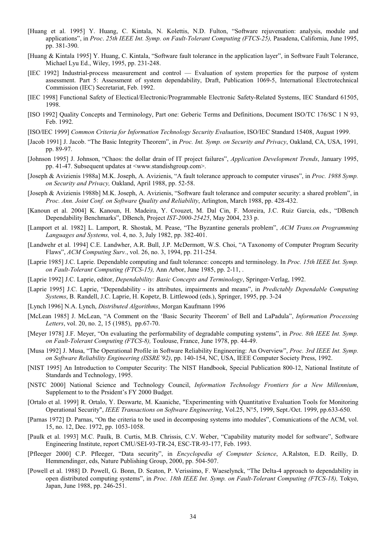- [Huang et al. 1995] Y. Huang, C. Kintala, N. Kolettis, N.D. Fulton, "Software rejuvenation: analysis, module and applications", in *Proc*. *25th IEEE Int. Symp. on Fault-Tolerant Computing (FTCS-25),* Pasadena, California, June 1995, pp. 381-390.
- [Huang & Kintala 1995] Y. Huang, C. Kintala, "Software fault tolerance in the application layer", in Software Fault Tolerance, Michael Lyu Ed., Wiley, 1995, pp. 231-248.
- [IEC 1992] Industrial-process measurement and control Evaluation of system properties for the purpose of system assessment. Part 5: Assessment of system dependability, Draft, Publication 1069-5, International Electrotechnical Commission (IEC) Secretariat, Feb. 1992.
- [IEC 1998] Functional Safety of Electical/Electronic/Programmable Electronic Safety-Related Systems, IEC Standard 61505, 1998.
- [ISO 1992] Quality Concepts and Terminology, Part one: Geberic Terms and Definitions, Document ISO/TC 176/SC 1 N 93, Feb. 1992.
- [ISO/IEC 1999] *Common Criteria for Information Technology Security Evaluation*, ISO/IEC Standard 15408, August 1999.
- [Jacob 1991] J. Jacob. "The Basic Integrity Theorem", in *Proc. Int. Symp. on Security and Privacy*, Oakland, CA, USA, 1991*,*  pp. 89-97.
- [Johnson 1995] J. Johnson, "Chaos: the dollar drain of IT project failures", *Application Development Trends*, January 1995, pp. 41-47. Subsequent updates at <www.standishgroup.com>.
- [Joseph & Avizienis 1988a] M.K. Joseph, A. Avizienis, "A fault tolerance approach to computer viruses", in *Proc. 1988 Symp. on Security and Privacy,* Oakland, April 1988, pp. 52-58.
- [Joseph & Avizienis 1988b] M.K. Joseph, A. Avizienis, "Software fault tolerance and computer security: a shared problem", in *Proc. Ann. Joint Conf. on Software Quality and Reliability*, Arlington, March 1988, pp. 428-432.
- [Kanoun et al. 2004] K. Kanoun, H. Madeira, Y. Crouzet, M. Dal Cin, F. Moreira, J.C. Ruiz Garcia, eds., "DBench Dependability Benchmarks", DBench, Project *IST-2000-25425*, May 2004, 233 p.
- [Lamport et al. 1982] L. Lamport, R. Shostak, M. Pease, "The Byzantine generals problem", *ACM Trans.on Programming Languages and Systems,* vol. 4, no. 3, July 1982, pp. 382-401.
- [Landwehr et al. 1994] C.E. Landwher, A.R. Bull, J.P. McDermott, W.S. Choi, "A Taxonomy of Computer Program Security Flaws", *ACM Computing Surv.*, vol. 26, no. 3, 1994, pp. 211-254.
- [Laprie 1985] J.C. Laprie. Dependable computing and fault tolerance: concepts and terminology. In *Proc. 15th IEEE Int. Symp. on Fault-Tolerant Computing (FTCS-15),* Ann Arbor, June 1985, pp. 2-11, .
- [Laprie 1992] J.C. Laprie, editor, *Dependability: Basic Concepts and Terminology*, Springer-Verlag, 1992.
- [Laprie 1995] J.C. Laprie, "Dependability its attributes, impairments and means", in *Predictably Dependable Computing Systems*, B. Randell, J.C. Laprie, H. Kopetz, B. Littlewood (eds.), Springer, 1995, pp. 3-24
- [Lynch 1996] N.A. Lynch, *Distributed Algorithms*, Morgan Kaufmann 1996
- [McLean 1985] J. McLean, "A Comment on the 'Basic Security Theorem' of Bell and LaPadula", *Information Processing Letters*, vol. 20, no. 2, 15 (1985), pp.67-70.
- [Meyer 1978] J.F. Meyer, "On evaluating the performability of degradable computing systems", in *Proc. 8th IEEE Int. Symp. on Fault-Tolerant Computing (FTCS-8),* Toulouse, France, June 1978, pp. 44-49.
- [Musa 1992] J. Musa, "The Operational Profile in Software Reliability Engineering: An Overview", *Proc. 3rd IEEE Int. Symp. on Software Reliability Engineering (ISSRE'92)*, pp. 140-154, NC, USA, IEEE Computer Society Press, 1992.
- [NIST 1995] An Introduction to Computer Security: The NIST Handbook, Special Publication 800-12, National Institute of Standards and Technology, 1995.
- [NSTC 2000] National Science and Technology Council, *Information Technology Frontiers for a New Millennium*, Supplement to to the Prsident's FY 2000 Budget.
- [Ortalo et al. 1999] R. Ortalo, Y. Deswarte, M. Kaaniche, "Experimenting with Quantitative Evaluation Tools for Monitoring Operational Security", *IEEE Transactions on Software Engineering*, Vol.25, N°5, 1999, Sept./Oct. 1999, pp.633-650.
- [Parnas 1972] D. Parnas, "On the criteria to be used in decomposing systems into modules", Comunications of the ACM, vol. 15, no. 12, Dec. 1972, pp. 1053-1058.
- [Paulk et al. 1993] M.C. Paulk, B. Curtis, M.B. Chrissis, C.V. Weber, "Capability maturity model for software", Software Engineering Institute, report CMU/SEI-93-TR-24, ESC-TR-93-177, Feb. 1993.
- [Pfleeger 2000] C.P. Pfleeger, "Data security", in *Encyclopedia of Computer Science*, A.Ralston, E.D. Reilly, D. Hemmendinger, eds, Nature Publishing Group, 2000, pp. 504-507.
- [Powell et al. 1988] D. Powell, G. Bonn, D. Seaton, P. Verissimo, F. Waeselynck, "The Delta-4 approach to dependability in open distributed computing systems", in *Proc. 18th IEEE Int. Symp. on Fault-Tolerant Computing (FTCS-18),* Tokyo, Japan, June 1988, pp. 246-251.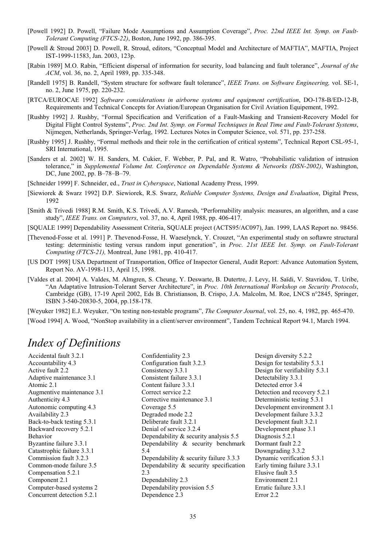- [Powell 1992] D. Powell, "Failure Mode Assumptions and Assumption Coverage", *Proc. 22nd IEEE Int. Symp. on Fault-Tolerant Computing (FTCS-22)*, Boston, June 1992, pp. 386-395.
- [Powell & Stroud 2003] D. Powell, R. Stroud, editors, "Conceptual Model and Architecture of MAFTIA", MAFTIA, Project IST-1999-11583, Jan. 2003, 123p.
- [Rabin 1989] M.O. Rabin, "Efficient dispersal of information for security, load balancing and fault tolerance", *Journal of the ACM*, vol. 36, no. 2, April 1989, pp. 335-348.
- [Randell 1975] B. Randell, "System structure for software fault tolerance", *IEEE Trans. on Software Engineering,* vol. SE-1, no. 2, June 1975, pp. 220-232.
- [RTCA/EUROCAE 1992] *Software considerations in airborne systems and equipment certification*, DO-178-B/ED-12-B, Requirements and Technical Concepts for Aviation/European Organisation for Civil Aviation Equipement, 1992.
- [Rushby 1992] J. Rushby, "Formal Specification and Verification of a Fault-Masking and Transient-Recovery Model for Digital Flight Control Systems", *Proc. 2nd Int. Symp. on Formal Techniques in Real Time and Fault-Tolerant Systems*, Nijmegen, Netherlands, Springer-Verlag, 1992. Lectures Notes in Computer Science, vol. 571, pp. 237-258.
- [Rushby 1995] J. Rushby, "Formal methods and their role in the certification of critical systems", Technical Report CSL-95-1, SRI International, 1995.
- [Sanders et al. 2002] W. H. Sanders, M. Cukier, F. Webber, P. Pal, and R. Watro, "Probabilistic validation of intrusion tolerance," in *Supplemental Volume Int. Conference on Dependable Systems & Networks (DSN-2002)*, Washington, DC, June 2002, pp. B–78–B–79.
- [Schneider 1999] F. Schneider, ed., *Trust in Cyberspace*, National Academy Press, 1999.
- [Siewiorek & Swarz 1992] D.P. Siewiorek, R.S. Swarz, *Reliable Computer Systems, Design and Evaluation*, Digital Press, 1992
- [Smith & Trivedi 1988] R.M. Smith, K.S. Trivedi, A.V. Ramesh, "Performability analysis: measures, an algorithm, and a case study", *IEEE Trans. on Computers*, vol. 37, no. 4, April 1988, pp. 406-417.
- [SQUALE 1999] Dependability Assessment Criteria, SQUALE project (ACTS95/AC097), Jan. 1999, LAAS Report no. 98456.
- [Thevenod-Fosse et al. 1991] P. Thevenod-Fosse, H. Waeselynck, Y. Crouzet, "An experimental study on softawre structural testing: deterministic testing versus random input generation", in *Proc. 21st IEEE Int. Symp. on Fault-Tolerant Computing (FTCS-21),* Montreal, June 1981, pp. 410-417.
- [US DOT 1998] USA Department of Transportation, Office of Inspector General, Audit Report: Advance Automation System, Report No. AV-1998-113, April 15, 1998.
- [Valdes et al. 2004] A. Valdes, M. Almgren, S. Cheung, Y. Deswarte, B. Dutertre, J. Levy, H. Saïdi, V. Stavridou, T. Uribe, "An Adaptative Intrusion-Tolerant Server Architecture", in *Proc. 10th International Workshop on Security Protocols*, Cambridge (GB), 17-19 April 2002, Eds B. Christianson, B. Crispo, J.A. Malcolm, M. Roe, LNCS n°2845, Springer, ISBN 3-540-20830-5, 2004, pp.158-178.

[Weyuker 1982] E.J. Weyuker, "On testing non-testable programs", *The Computer Journal*, vol. 25, no. 4, 1982, pp. 465-470.

[Wood 1994] A. Wood, "NonStop availability in a client/server environment", Tandem Technical Report 94.1, March 1994.

# *Index of Definitions*

Accidental fault 3.2.1 Accountability 4.3 Active fault 2.2 Adaptive maintenance 3.1 Atomic 2.1 Augmentive maintenance 3.1 Authenticity 4.3 Autonomic computing 4.3 Availability 2.3 Back-to-back testing 5.3.1 Backward recovery 5.2.1 Behavior Byzantine failure 3.3.1 Catastrophic failure 3.3.1 Commission fault 3.2.3 Common-mode failure 3.5 Compensation 5.2.1 Component 2.1 Computer-based systems 2 Concurrent detection 5.2.1

Confidentiality 2.3 Configuration fault 3.2.3 Consistency 3.3.1 Consistent failure 3.3.1 Content failure 3.3.1 Correct service 2.2 Corrective maintenance 3.1 Coverage 5.5 Degraded mode 2.2 Deliberate fault 3.2.1 Denial of service 3.2.4 Dependability & security analysis 5.5 Dependability & security benchmark 5.4 Dependability & security failure 3.3.3 Dependability & security specification 2.3 Dependability 2.3 Dependability provision 5.5 Dependence 2.3

Design diversity 5.2.2 Design for testability 5.3.1 Design for verifiability 5.3.1 Detectability 3.3.1 Detected error 3.4 Detection and recovery 5.2.1 Deterministic testing 5.3.1 Development environment 3.1 Development failure 3.3.2 Development fault 3.2.1 Development phase 3.1 Diagnosis 5.2.1 Dormant fault 2.2 Downgrading 3.3.2 Dynamic verification 5.3.1 Early timing failure 3.3.1 Elusive fault 3.5 Environment 2.1 Erratic failure 3.3.1 Error 2.2